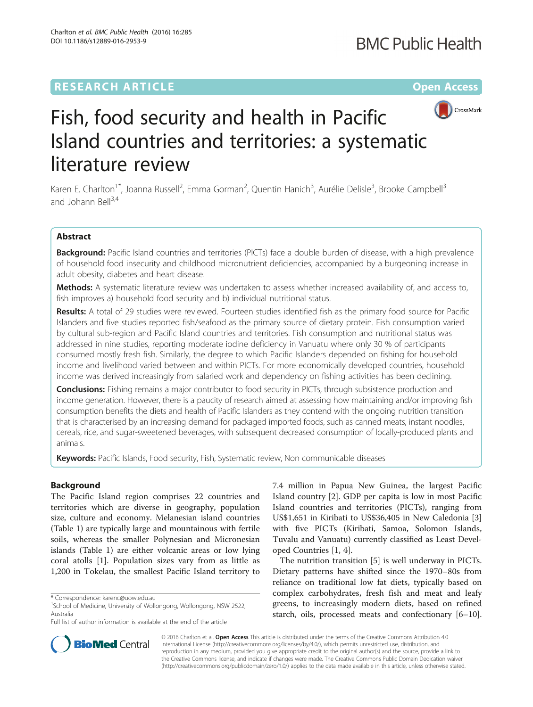# **RESEARCH ARTICLE External Structure Community Community Community Community Community Community Community Community**



# Fish, food security and health in Pacific Island countries and territories: a systematic literature review

Karen E. Charlton<sup>1\*</sup>, Joanna Russell<sup>2</sup>, Emma Gorman<sup>2</sup>, Quentin Hanich<sup>3</sup>, Aurélie Delisle<sup>3</sup>, Brooke Campbell<sup>3</sup> and Johann Bell $^{3,4}$ 

## Abstract

Background: Pacific Island countries and territories (PICTs) face a double burden of disease, with a high prevalence of household food insecurity and childhood micronutrient deficiencies, accompanied by a burgeoning increase in adult obesity, diabetes and heart disease.

Methods: A systematic literature review was undertaken to assess whether increased availability of, and access to, fish improves a) household food security and b) individual nutritional status.

Results: A total of 29 studies were reviewed. Fourteen studies identified fish as the primary food source for Pacific Islanders and five studies reported fish/seafood as the primary source of dietary protein. Fish consumption varied by cultural sub-region and Pacific Island countries and territories. Fish consumption and nutritional status was addressed in nine studies, reporting moderate iodine deficiency in Vanuatu where only 30 % of participants consumed mostly fresh fish. Similarly, the degree to which Pacific Islanders depended on fishing for household income and livelihood varied between and within PICTs. For more economically developed countries, household income was derived increasingly from salaried work and dependency on fishing activities has been declining.

Conclusions: Fishing remains a major contributor to food security in PICTs, through subsistence production and income generation. However, there is a paucity of research aimed at assessing how maintaining and/or improving fish consumption benefits the diets and health of Pacific Islanders as they contend with the ongoing nutrition transition that is characterised by an increasing demand for packaged imported foods, such as canned meats, instant noodles, cereals, rice, and sugar-sweetened beverages, with subsequent decreased consumption of locally-produced plants and animals.

Keywords: Pacific Islands, Food security, Fish, Systematic review, Non communicable diseases

## Background

The Pacific Island region comprises 22 countries and territories which are diverse in geography, population size, culture and economy. Melanesian island countries (Table [1\)](#page-1-0) are typically large and mountainous with fertile soils, whereas the smaller Polynesian and Micronesian islands (Table [1](#page-1-0)) are either volcanic areas or low lying coral atolls [\[1](#page-23-0)]. Population sizes vary from as little as 1,200 in Tokelau, the smallest Pacific Island territory to

7.4 million in Papua New Guinea, the largest Pacific Island country [\[2](#page-23-0)]. GDP per capita is low in most Pacific Island countries and territories (PICTs), ranging from US\$1,651 in Kiribati to US\$36,405 in New Caledonia [\[3](#page-23-0)] with five PICTs (Kiribati, Samoa, Solomon Islands, Tuvalu and Vanuatu) currently classified as Least Developed Countries [[1, 4\]](#page-23-0).

The nutrition transition [\[5](#page-23-0)] is well underway in PICTs. Dietary patterns have shifted since the 1970–80s from reliance on traditional low fat diets, typically based on complex carbohydrates, fresh fish and meat and leafy greens, to increasingly modern diets, based on refined starch, oils, processed meats and confectionary [[6](#page-23-0)–[10](#page-23-0)].



© 2016 Charlton et al. **Open Access** This article is distributed under the terms of the Creative Commons Attribution 4.0 International License [\(http://creativecommons.org/licenses/by/4.0/](http://creativecommons.org/licenses/by/4.0/)), which permits unrestricted use, distribution, and reproduction in any medium, provided you give appropriate credit to the original author(s) and the source, provide a link to the Creative Commons license, and indicate if changes were made. The Creative Commons Public Domain Dedication waiver [\(http://creativecommons.org/publicdomain/zero/1.0/](http://creativecommons.org/publicdomain/zero/1.0/)) applies to the data made available in this article, unless otherwise stated.

<sup>\*</sup> Correspondence: [karenc@uow.edu.au](mailto:karenc@uow.edu.au) <sup>1</sup>

<sup>&</sup>lt;sup>1</sup>School of Medicine, University of Wollongong, Wollongong, NSW 2522, Australia

Full list of author information is available at the end of the article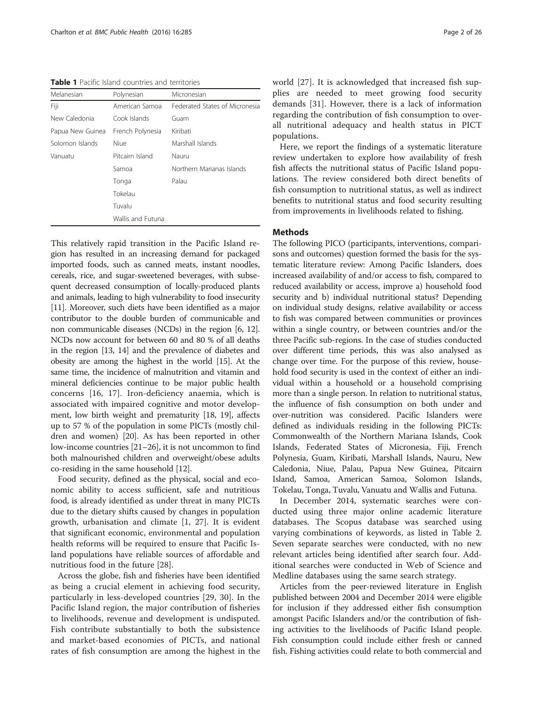<span id="page-1-0"></span>Table 1 Pacific Island countries and territories

| Melanesian       | Polynesian        | Micronesian                    |
|------------------|-------------------|--------------------------------|
| Fiji             | American Samoa    | Federated States of Micronesia |
| New Caledonia    | Cook Islands      | Guam                           |
| Papua New Guinea | French Polynesia  | Kiribati                       |
| Solomon Islands  | Niue              | Marshall Islands               |
| Vanuatu          | Pitcairn Island   | Nauru                          |
|                  | Samoa             | Northern Marianas Islands      |
|                  | Tonga             | Palau                          |
|                  | Tokelau           |                                |
|                  | Tuvalu            |                                |
|                  | Wallis and Futuna |                                |

This relatively rapid transition in the Pacific Island region has resulted in an increasing demand for packaged imported foods, such as canned meats, instant noodles, cereals, rice, and sugar-sweetened beverages, with subsequent decreased consumption of locally-produced plants and animals, leading to high vulnerability to food insecurity [[11](#page-23-0)]. Moreover, such diets have been identified as a major contributor to the double burden of communicable and non communicable diseases (NCDs) in the region [\[6](#page-23-0), [12](#page-23-0)]. NCDs now account for between 60 and 80 % of all deaths in the region [\[13, 14](#page-23-0)] and the prevalence of diabetes and obesity are among the highest in the world [[15](#page-23-0)]. At the same time, the incidence of malnutrition and vitamin and mineral deficiencies continue to be major public health concerns [[16, 17\]](#page-23-0). Iron-deficiency anaemia, which is associated with impaired cognitive and motor development, low birth weight and prematurity [\[18, 19\]](#page-23-0), affects up to 57 % of the population in some PICTs (mostly children and women) [\[20\]](#page-23-0). As has been reported in other low-income countries [\[21](#page-23-0)–[26](#page-23-0)], it is not uncommon to find both malnourished children and overweight/obese adults co-residing in the same household [[12](#page-23-0)].

Food security, defined as the physical, social and economic ability to access sufficient, safe and nutritious food, is already identified as under threat in many PICTs due to the dietary shifts caused by changes in population growth, urbanisation and climate [\[1](#page-23-0), [27\]](#page-23-0). It is evident that significant economic, environmental and population health reforms will be required to ensure that Pacific Island populations have reliable sources of affordable and nutritious food in the future [[28](#page-23-0)].

Across the globe, fish and fisheries have been identified as being a crucial element in achieving food security, particularly in less-developed countries [[29, 30\]](#page-23-0). In the Pacific Island region, the major contribution of fisheries to livelihoods, revenue and development is undisputed. Fish contribute substantially to both the subsistence and market-based economies of PICTs, and national rates of fish consumption are among the highest in the world [[27\]](#page-23-0). It is acknowledged that increased fish supplies are needed to meet growing food security demands [\[31](#page-23-0)]. However, there is a lack of information regarding the contribution of fish consumption to overall nutritional adequacy and health status in PICT populations.

Here, we report the findings of a systematic literature review undertaken to explore how availability of fresh fish affects the nutritional status of Pacific Island populations. The review considered both direct benefits of fish consumption to nutritional status, as well as indirect benefits to nutritional status and food security resulting from improvements in livelihoods related to fishing.

#### **Mathods**

The following PICO (participants, interventions, comparisons and outcomes) question formed the basis for the systematic literature review: Among Pacific Islanders, does increased availability of and/or access to fish, compared to reduced availability or access, improve a) household food security and b) individual nutritional status? Depending on individual study designs, relative availability or access to fish was compared between communities or provinces within a single country, or between countries and/or the three Pacific sub-regions. In the case of studies conducted over different time periods, this was also analysed as change over time. For the purpose of this review, household food security is used in the context of either an individual within a household or a household comprising more than a single person. In relation to nutritional status, the influence of fish consumption on both under and over-nutrition was considered. Pacific Islanders were defined as individuals residing in the following PICTs: Commonwealth of the Northern Mariana Islands, Cook Islands, Federated States of Micronesia, Fiji, French Polynesia, Guam, Kiribati, Marshall Islands, Nauru, New Caledonia, Niue, Palau, Papua New Guinea, Pitcairn Island, Samoa, American Samoa, Solomon Islands, Tokelau, Tonga, Tuvalu, Vanuatu and Wallis and Futuna.

In December 2014, systematic searches were conducted using three major online academic literature databases. The Scopus database was searched using varying combinations of keywords, as listed in Table [2](#page-2-0). Seven separate searches were conducted, with no new relevant articles being identified after search four. Additional searches were conducted in Web of Science and Medline databases using the same search strategy.

Articles from the peer-reviewed literature in English published between 2004 and December 2014 were eligible for inclusion if they addressed either fish consumption amongst Pacific Islanders and/or the contribution of fishing activities to the livelihoods of Pacific Island people. Fish consumption could include either fresh or canned fish. Fishing activities could relate to both commercial and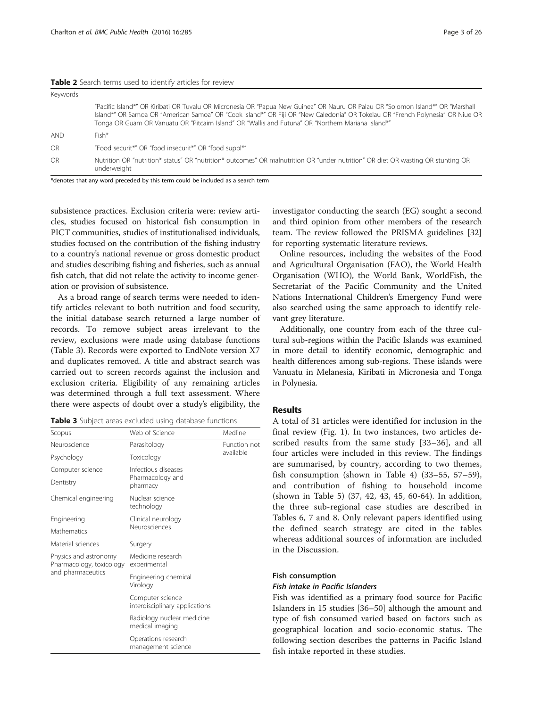#### <span id="page-2-0"></span>Table 2 Search terms used to identify articles for review

| Keywords |                                                                                                                                                                                                                                                                                                                                                                          |
|----------|--------------------------------------------------------------------------------------------------------------------------------------------------------------------------------------------------------------------------------------------------------------------------------------------------------------------------------------------------------------------------|
|          | "Pacific Island*" OR Kiribati OR Tuvalu OR Micronesia OR "Papua New Guinea" OR Nauru OR Palau OR "Solomon Island*" OR "Marshall<br>Island*" OR Samoa OR "American Samoa" OR "Cook Island*" OR Fiji OR "New Caledonia" OR Tokelau OR "French Polynesia" OR Niue OR<br>"Fonga OR Guam OR Vanuatu OR "Pitcairn Island" OR "Wallis and Futuna" OR "Northern Mariana Island*" |
| AND      | Fish*                                                                                                                                                                                                                                                                                                                                                                    |
| OR.      | "Food securit*" OR "food insecurit*" OR "food suppl*"                                                                                                                                                                                                                                                                                                                    |
| OR.      | Nutrition OR "nutrition* status" OR "nutrition* outcomes" OR malnutrition OR "under nutrition" OR diet OR wasting OR stunting OR<br>underweight                                                                                                                                                                                                                          |

\*denotes that any word preceded by this term could be included as a search term

subsistence practices. Exclusion criteria were: review articles, studies focused on historical fish consumption in PICT communities, studies of institutionalised individuals, studies focused on the contribution of the fishing industry to a country's national revenue or gross domestic product and studies describing fishing and fisheries, such as annual fish catch, that did not relate the activity to income generation or provision of subsistence.

As a broad range of search terms were needed to identify articles relevant to both nutrition and food security, the initial database search returned a large number of records. To remove subject areas irrelevant to the review, exclusions were made using database functions (Table 3). Records were exported to EndNote version X7 and duplicates removed. A title and abstract search was carried out to screen records against the inclusion and exclusion criteria. Eligibility of any remaining articles was determined through a full text assessment. Where there were aspects of doubt over a study's eligibility, the

Table 3 Subject areas excluded using database functions

| Scopus                                            | Web of Science                                     | Medline                   |  |  |
|---------------------------------------------------|----------------------------------------------------|---------------------------|--|--|
|                                                   |                                                    |                           |  |  |
| Neuroscience                                      | Parasitology                                       | Function not<br>available |  |  |
| Psychology                                        | Toxicology                                         |                           |  |  |
| Computer science                                  | Infectious diseases                                |                           |  |  |
| Dentistry                                         | Pharmacology and<br>pharmacy                       |                           |  |  |
| Chemical engineering                              | Nuclear science<br>technology                      |                           |  |  |
| Engineering                                       | Clinical neurology                                 |                           |  |  |
| Mathematics                                       | Neurosciences                                      |                           |  |  |
| Material sciences                                 | Surgery                                            |                           |  |  |
| Physics and astronomy<br>Pharmacology, toxicology | Medicine research<br>experimental                  |                           |  |  |
| and pharmaceutics                                 | Engineering chemical<br>Virology                   |                           |  |  |
|                                                   | Computer science<br>interdisciplinary applications |                           |  |  |
|                                                   | Radiology nuclear medicine<br>medical imaging      |                           |  |  |
|                                                   | Operations research<br>management science          |                           |  |  |

investigator conducting the search (EG) sought a second and third opinion from other members of the research team. The review followed the PRISMA guidelines [[32](#page-23-0)] for reporting systematic literature reviews.

Online resources, including the websites of the Food and Agricultural Organisation (FAO), the World Health Organisation (WHO), the World Bank, WorldFish, the Secretariat of the Pacific Community and the United Nations International Children's Emergency Fund were also searched using the same approach to identify relevant grey literature.

Additionally, one country from each of the three cultural sub-regions within the Pacific Islands was examined in more detail to identify economic, demographic and health differences among sub-regions. These islands were Vanuatu in Melanesia, Kiribati in Micronesia and Tonga in Polynesia.

#### Results

A total of 31 articles were identified for inclusion in the final review (Fig. [1](#page-3-0)). In two instances, two articles described results from the same study [[33](#page-23-0)–[36](#page-23-0)], and all four articles were included in this review. The findings are summarised, by country, according to two themes, fish consumption (shown in Table [4](#page-4-0)) (33–55, 57–59), and contribution of fishing to household income (shown in Table [5\)](#page-11-0) (37, 42, 43, 45, 60-64). In addition, the three sub-regional case studies are described in Tables [6](#page-14-0), [7](#page-15-0) and [8](#page-16-0). Only relevant papers identified using the defined search strategy are cited in the tables whereas additional sources of information are included in the Discussion.

#### Fish consumption

#### Fish intake in Pacific Islanders

Fish was identified as a primary food source for Pacific Islanders in 15 studies [\[36](#page-23-0)–[50\]](#page-24-0) although the amount and type of fish consumed varied based on factors such as geographical location and socio-economic status. The following section describes the patterns in Pacific Island fish intake reported in these studies.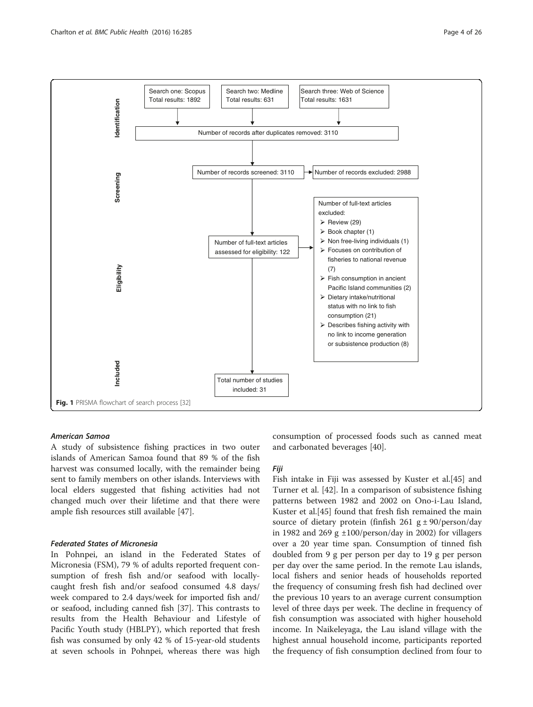<span id="page-3-0"></span>

#### American Samoa

A study of subsistence fishing practices in two outer islands of American Samoa found that 89 % of the fish harvest was consumed locally, with the remainder being sent to family members on other islands. Interviews with local elders suggested that fishing activities had not changed much over their lifetime and that there were ample fish resources still available [[47\]](#page-24-0).

#### Federated States of Micronesia

In Pohnpei, an island in the Federated States of Micronesia (FSM), 79 % of adults reported frequent consumption of fresh fish and/or seafood with locallycaught fresh fish and/or seafood consumed 4.8 days/ week compared to 2.4 days/week for imported fish and/ or seafood, including canned fish [\[37](#page-23-0)]. This contrasts to results from the Health Behaviour and Lifestyle of Pacific Youth study (HBLPY), which reported that fresh fish was consumed by only 42 % of 15-year-old students at seven schools in Pohnpei, whereas there was high

consumption of processed foods such as canned meat and carbonated beverages [[40](#page-24-0)].

## Fiji

Fish intake in Fiji was assessed by Kuster et al.[[45\]](#page-24-0) and Turner et al. [[42\]](#page-24-0). In a comparison of subsistence fishing patterns between 1982 and 2002 on Ono-i-Lau Island, Kuster et al.[[45](#page-24-0)] found that fresh fish remained the main source of dietary protein (finfish  $261$  g  $\pm$  90/person/day in 1982 and 269 g  $\pm 100$ /person/day in 2002) for villagers over a 20 year time span. Consumption of tinned fish doubled from 9 g per person per day to 19 g per person per day over the same period. In the remote Lau islands, local fishers and senior heads of households reported the frequency of consuming fresh fish had declined over the previous 10 years to an average current consumption level of three days per week. The decline in frequency of fish consumption was associated with higher household income. In Naikeleyaga, the Lau island village with the highest annual household income, participants reported the frequency of fish consumption declined from four to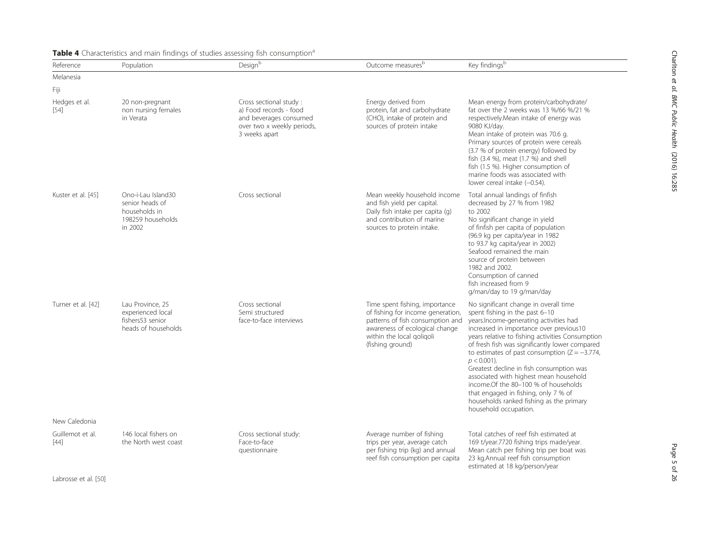| Reference                                          | Population                                                                             | Designb                                                                                                                   | Outcome measures <sup>b</sup>                                                                                                                                                              | Key findingsb                                                                                                                                                                                                                                                                                                                                                                                                                                                                                                                                                                      |
|----------------------------------------------------|----------------------------------------------------------------------------------------|---------------------------------------------------------------------------------------------------------------------------|--------------------------------------------------------------------------------------------------------------------------------------------------------------------------------------------|------------------------------------------------------------------------------------------------------------------------------------------------------------------------------------------------------------------------------------------------------------------------------------------------------------------------------------------------------------------------------------------------------------------------------------------------------------------------------------------------------------------------------------------------------------------------------------|
| Melanesia                                          |                                                                                        |                                                                                                                           |                                                                                                                                                                                            |                                                                                                                                                                                                                                                                                                                                                                                                                                                                                                                                                                                    |
| Fiji                                               |                                                                                        |                                                                                                                           |                                                                                                                                                                                            |                                                                                                                                                                                                                                                                                                                                                                                                                                                                                                                                                                                    |
| Hedges et al.<br>$[54]$                            | 20 non-pregnant<br>non nursing females<br>in Verata                                    | Cross sectional study:<br>a) Food records - food<br>and beverages consumed<br>over two x weekly periods,<br>3 weeks apart | Energy derived from<br>protein, fat and carbohydrate<br>(CHO), intake of protein and<br>sources of protein intake                                                                          | Mean energy from protein/carbohydrate/<br>fat over the 2 weeks was 13 %/66 %/21 %<br>respectively. Mean intake of energy was<br>9080 KJ/day.<br>Mean intake of protein was 70.6 g.<br>Primary sources of protein were cereals<br>(3.7 % of protein energy) followed by<br>fish (3.4 %), meat (1.7 %) and shell<br>fish (1.5 %). Higher consumption of<br>marine foods was associated with<br>lower cereal intake (-0.54).                                                                                                                                                          |
| Kuster et al. [45]                                 | Ono-i-Lau Island30<br>senior heads of<br>households in<br>198259 households<br>in 2002 | Cross sectional                                                                                                           | Mean weekly household income<br>and fish yield per capital.<br>Daily fish intake per capita (g)<br>and contribution of marine<br>sources to protein intake.                                | Total annual landings of finfish<br>decreased by 27 % from 1982<br>to 2002<br>No significant change in yield<br>of finfish per capita of population<br>(96.9 kg per capita/year in 1982<br>to 93.7 kg capita/year in 2002)<br>Seafood remained the main<br>source of protein between<br>1982 and 2002.<br>Consumption of canned<br>fish increased from 9<br>g/man/day to 19 g/man/day                                                                                                                                                                                              |
| Turner et al. [42]                                 | Lau Province, 25<br>experienced local<br>fishers53 senior<br>heads of households       | Cross sectional<br>Semi structured<br>face-to-face interviews                                                             | Time spent fishing, importance<br>of fishing for income generation,<br>patterns of fish consumption and<br>awareness of ecological change<br>within the local goligoli<br>(fishing ground) | No significant change in overall time<br>spent fishing in the past 6-10<br>years.Income-generating activities had<br>increased in importance over previous10<br>years relative to fishing activities Consumption<br>of fresh fish was significantly lower compared<br>to estimates of past consumption $(Z = -3.774,$<br>$p < 0.001$ ).<br>Greatest decline in fish consumption was<br>associated with highest mean household<br>income.Of the 80-100 % of households<br>that engaged in fishing, only 7 % of<br>households ranked fishing as the primary<br>household occupation. |
| New Caledonia                                      |                                                                                        |                                                                                                                           |                                                                                                                                                                                            |                                                                                                                                                                                                                                                                                                                                                                                                                                                                                                                                                                                    |
| Guillemot et al.<br>$[44]$<br>Labrosse et al. [50] | 146 local fishers on<br>the North west coast                                           | Cross sectional study:<br>Face-to-face<br>questionnaire                                                                   | Average number of fishing<br>trips per year, average catch<br>per fishing trip (kg) and annual<br>reef fish consumption per capita                                                         | Total catches of reef fish estimated at<br>169 t/year.7720 fishing trips made/year.<br>Mean catch per fishing trip per boat was<br>23 kg.Annual reef fish consumption<br>estimated at 18 kg/person/year                                                                                                                                                                                                                                                                                                                                                                            |

## <span id="page-4-0"></span>Table 4 Characteristics and main findings of studies assessing fish consumption<sup>a</sup>

Labrosse et al. [[50](#page-24-0)]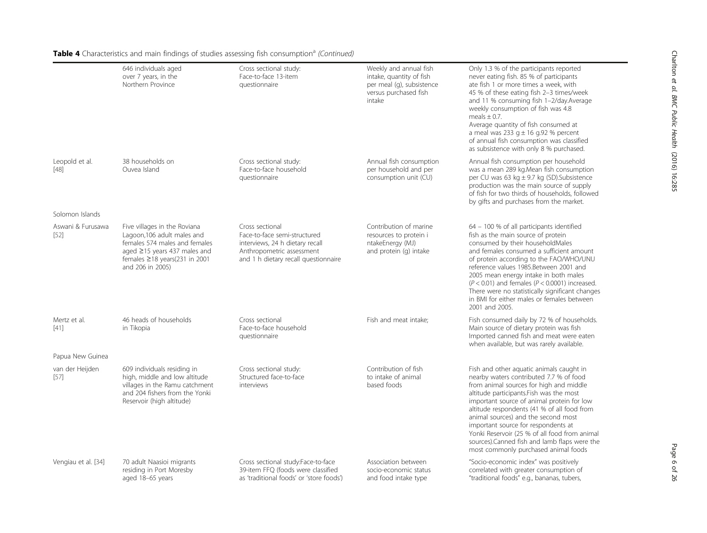|                             |                                                                                                                                                                                   | Table 4 Characteristics and main findings of studies assessing fish consumption <sup>a</sup> (Continued)                                                |                                                                                                                    |                                                                                                                                                                                                                                                                                                                                                                                                                                                                                                |
|-----------------------------|-----------------------------------------------------------------------------------------------------------------------------------------------------------------------------------|---------------------------------------------------------------------------------------------------------------------------------------------------------|--------------------------------------------------------------------------------------------------------------------|------------------------------------------------------------------------------------------------------------------------------------------------------------------------------------------------------------------------------------------------------------------------------------------------------------------------------------------------------------------------------------------------------------------------------------------------------------------------------------------------|
|                             | 646 individuals aged<br>over 7 years, in the<br>Northern Province                                                                                                                 | Cross sectional study:<br>Face-to-face 13-item<br>questionnaire                                                                                         | Weekly and annual fish<br>intake, quantity of fish<br>per meal (q), subsistence<br>versus purchased fish<br>intake | Only 1.3 % of the participants reported<br>never eating fish. 85 % of participants<br>ate fish 1 or more times a week, with<br>45 % of these eating fish 2-3 times/week<br>and 11 % consuming fish 1-2/day.Average<br>weekly consumption of fish was 4.8<br>meals $\pm$ 0.7.<br>Average quantity of fish consumed at<br>a meal was 233 $q \pm 16$ g.92 % percent<br>of annual fish consumption was classified<br>as subsistence with only 8 % purchased.                                       |
| Leopold et al.<br>$[48]$    | 38 households on<br>Ouvea Island                                                                                                                                                  | Cross sectional study:<br>Face-to-face household<br>questionnaire                                                                                       | Annual fish consumption<br>per household and per<br>consumption unit (CU)                                          | Annual fish consumption per household<br>was a mean 289 kg.Mean fish consumption<br>per CU was 63 kg ± 9.7 kg (SD).Subsistence<br>production was the main source of supply<br>of fish for two thirds of households, followed<br>by gifts and purchases from the market.                                                                                                                                                                                                                        |
| Solomon Islands             |                                                                                                                                                                                   |                                                                                                                                                         |                                                                                                                    |                                                                                                                                                                                                                                                                                                                                                                                                                                                                                                |
| Aswani & Furusawa<br>$[52]$ | Five villages in the Roviana<br>Lagoon, 106 adult males and<br>females 574 males and females<br>aged ≥15 years 437 males and<br>females ≥18 years(231 in 2001<br>and 206 in 2005) | Cross sectional<br>Face-to-face semi-structured<br>interviews, 24 h dietary recall<br>Anthropometric assessment<br>and 1 h dietary recall questionnaire | Contribution of marine<br>resources to protein i<br>ntakeEnergy (MJ)<br>and protein (g) intake                     | 64 - 100 % of all participants identified<br>fish as the main source of protein<br>consumed by their householdMales<br>and females consumed a sufficient amount<br>of protein according to the FAO/WHO/UNU<br>reference values 1985. Between 2001 and<br>2005 mean energy intake in both males<br>$(P < 0.01)$ and females ( $P < 0.0001$ ) increased.<br>There were no statistically significant changes<br>in BMI for either males or females between<br>2001 and 2005.                      |
| Mertz et al.<br>$[41]$      | 46 heads of households<br>in Tikopia                                                                                                                                              | Cross sectional<br>Face-to-face household<br>questionnaire                                                                                              | Fish and meat intake;                                                                                              | Fish consumed daily by 72 % of households.<br>Main source of dietary protein was fish<br>Imported canned fish and meat were eaten<br>when available, but was rarely available.                                                                                                                                                                                                                                                                                                                 |
| Papua New Guinea            |                                                                                                                                                                                   |                                                                                                                                                         |                                                                                                                    |                                                                                                                                                                                                                                                                                                                                                                                                                                                                                                |
| van der Heijden<br>$[57]$   | 609 individuals residing in<br>high, middle and low altitude<br>villages in the Ramu catchment<br>and 204 fishers from the Yonki<br>Reservoir (high altitude)                     | Cross sectional study:<br>Structured face-to-face<br>interviews                                                                                         | Contribution of fish<br>to intake of animal<br>based foods                                                         | Fish and other aquatic animals caught in<br>nearby waters contributed 7.7 % of food<br>from animal sources for high and middle<br>altitude participants. Fish was the most<br>important source of animal protein for low<br>altitude respondents (41 % of all food from<br>animal sources) and the second most<br>important source for respondents at<br>Yonki Reservoir (25 % of all food from animal<br>sources).Canned fish and lamb flaps were the<br>most commonly purchased animal foods |
| Vengiau et al. [34]         | 70 adult Naasioi migrants<br>residing in Port Moresby<br>aged 18-65 years                                                                                                         | Cross sectional study:Face-to-face<br>39-item FFQ (foods were classified<br>as 'traditional foods' or 'store foods')                                    | Association between<br>socio-economic status<br>and food intake type                                               | "Socio-economic index" was positively<br>correlated with greater consumption of<br>"traditional foods" e.g., bananas, tubers,                                                                                                                                                                                                                                                                                                                                                                  |

(2016) 16:285

Page 6 of 26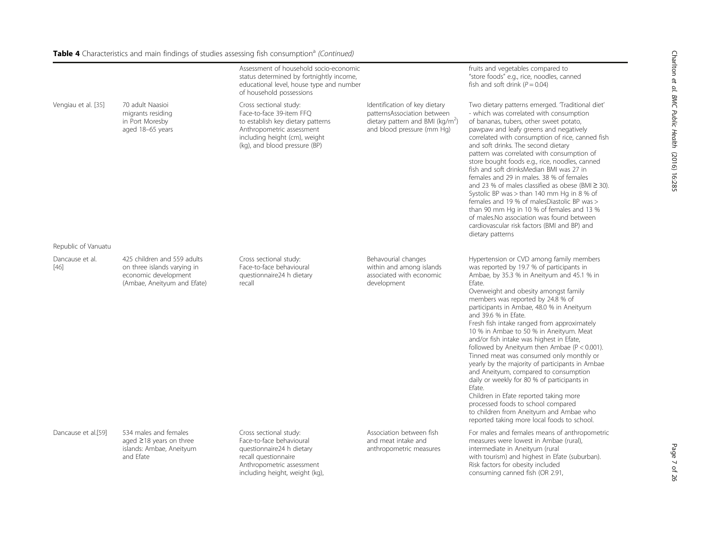Table 4 Characteristics and main findings of studies assessing fish consumption<sup>a</sup> (Continued)

|                           |                                                                                                                   | Assessment of household socio-economic<br>status determined by fortnightly income,<br>educational level, house type and number<br>of household possessions                             |                                                                                                                                           | fruits and vegetables compared to<br>"store foods" e.g., rice, noodles, canned<br>fish and soft drink ( $P = 0.04$ )                                                                                                                                                                                                                                                                                                                                                                                                                                                                                                                                                                                                                                                                                                                                                  |
|---------------------------|-------------------------------------------------------------------------------------------------------------------|----------------------------------------------------------------------------------------------------------------------------------------------------------------------------------------|-------------------------------------------------------------------------------------------------------------------------------------------|-----------------------------------------------------------------------------------------------------------------------------------------------------------------------------------------------------------------------------------------------------------------------------------------------------------------------------------------------------------------------------------------------------------------------------------------------------------------------------------------------------------------------------------------------------------------------------------------------------------------------------------------------------------------------------------------------------------------------------------------------------------------------------------------------------------------------------------------------------------------------|
| Vengiau et al. [35]       | 70 adult Naasioi<br>migrants residing<br>in Port Moresby<br>aged 18-65 years                                      | Cross sectional study:<br>Face-to-face 39-item FFQ<br>to establish key dietary patterns<br>Anthropometric assessment<br>including height (cm), weight<br>(kg), and blood pressure (BP) | Identification of key dietary<br>patternsAssociation between<br>dietary pattern and BMI ( $\text{kg/m}^2$ )<br>and blood pressure (mm Hg) | Two dietary patterns emerged. Traditional diet'<br>- which was correlated with consumption<br>of bananas, tubers, other sweet potato,<br>pawpaw and leafy greens and negatively<br>correlated with consumption of rice, canned fish<br>and soft drinks. The second dietary<br>pattern was correlated with consumption of<br>store bought foods e.g., rice, noodles, canned<br>fish and soft drinksMedian BMI was 27 in<br>females and 29 in males. 38 % of females<br>and 23 % of males classified as obese (BMI $\geq$ 30).<br>Systolic BP was > than 140 mm Hg in 8 % of<br>females and 19 % of malesDiastolic BP was ><br>than 90 mm Hg in 10 % of females and 13 %<br>of males. No association was found between<br>cardiovascular risk factors (BMI and BP) and<br>dietary patterns                                                                              |
| Republic of Vanuatu       |                                                                                                                   |                                                                                                                                                                                        |                                                                                                                                           |                                                                                                                                                                                                                                                                                                                                                                                                                                                                                                                                                                                                                                                                                                                                                                                                                                                                       |
| Dancause et al.<br>$[46]$ | 425 children and 559 adults<br>on three islands varying in<br>economic development<br>(Ambae, Aneityum and Efate) | Cross sectional study:<br>Face-to-face behavioural<br>questionnaire24 h dietary<br>recall                                                                                              | Behavourial changes<br>within and among islands<br>associated with economic<br>development                                                | Hypertension or CVD among family members<br>was reported by 19.7 % of participants in<br>Ambae, by 35.3 % in Aneityum and 45.1 % in<br>Ffate.<br>Overweight and obesity amongst family<br>members was reported by 24.8 % of<br>participants in Ambae, 48.0 % in Aneityum<br>and 39.6 % in Efate.<br>Fresh fish intake ranged from approximately<br>10 % in Ambae to 50 % in Aneityum. Meat<br>and/or fish intake was highest in Efate,<br>followed by Aneityum then Ambae ( $P < 0.001$ ).<br>Tinned meat was consumed only monthly or<br>yearly by the majority of participants in Ambae<br>and Aneityum, compared to consumption<br>daily or weekly for 80 % of participants in<br>Ffate.<br>Children in Efate reported taking more<br>processed foods to school compared<br>to children from Aneityum and Ambae who<br>reported taking more local foods to school. |
| Dancause et al.[59]       | 534 males and females<br>aged ≥18 years on three<br>islands: Ambae, Aneityum<br>and Efate                         | Cross sectional study:<br>Face-to-face behavioural<br>questionnaire24 h dietary<br>recall questionnaire<br>Anthropometric assessment<br>including height, weight (kg),                 | Association between fish<br>and meat intake and<br>anthropometric measures                                                                | For males and females means of anthropometric<br>measures were lowest in Ambae (rural),<br>intermediate in Aneityum (rural<br>with tourism) and highest in Efate (suburban).<br>Risk factors for obesity included<br>consuming canned fish (OR 2.91,                                                                                                                                                                                                                                                                                                                                                                                                                                                                                                                                                                                                                  |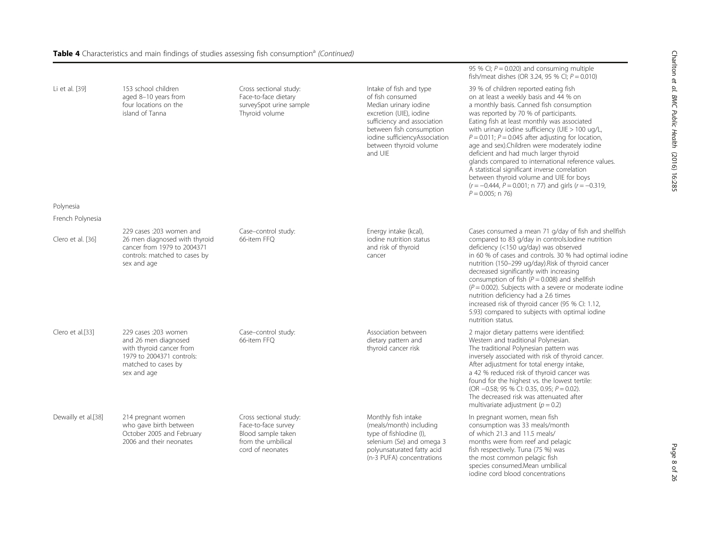## Table 4 Characteristics and main findings of studies assessing fish consumption<sup>a</sup> (Continued)

|                                       |                                                                                                                                              |                                                                                                               |                                                                                                                                                                                                                                  | 95 % CI; $P = 0.020$ ) and consuming multiple<br>fish/meat dishes (OR 3.24, 95 % CI; $P = 0.010$ )                                                                                                                                                                                                                                                                                                                                                                                                                                                                                                                                                                |
|---------------------------------------|----------------------------------------------------------------------------------------------------------------------------------------------|---------------------------------------------------------------------------------------------------------------|----------------------------------------------------------------------------------------------------------------------------------------------------------------------------------------------------------------------------------|-------------------------------------------------------------------------------------------------------------------------------------------------------------------------------------------------------------------------------------------------------------------------------------------------------------------------------------------------------------------------------------------------------------------------------------------------------------------------------------------------------------------------------------------------------------------------------------------------------------------------------------------------------------------|
| Li et al. [39]                        | 153 school children<br>aged 8-10 years from<br>four locations on the<br>island of Tanna                                                      | Cross sectional study:<br>Face-to-face dietary<br>surveySpot urine sample<br>Thyroid volume                   | Intake of fish and type<br>of fish consumed<br>Median urinary iodine<br>excretion (UIE), iodine<br>sufficiency and association<br>between fish consumption<br>iodine sufficiencyAssociation<br>between thyroid volume<br>and UIE | 39 % of children reported eating fish<br>on at least a weekly basis and 44 % on<br>a monthly basis. Canned fish consumption<br>was reported by 70 % of participants.<br>Eating fish at least monthly was associated<br>with urinary iodine sufficiency (UIE > 100 ug/L,<br>$P = 0.011$ ; $P = 0.045$ after adjusting for location,<br>age and sex). Children were moderately iodine<br>deficient and had much larger thyroid<br>glands compared to international reference values.<br>A statistical significant inverse correlation<br>between thyroid volume and UIE for boys<br>$(r = -0.444, P = 0.001; n 77)$ and girls $(r = -0.319,$<br>$P = 0.005$ ; n 76) |
| Polynesia                             |                                                                                                                                              |                                                                                                               |                                                                                                                                                                                                                                  |                                                                                                                                                                                                                                                                                                                                                                                                                                                                                                                                                                                                                                                                   |
| French Polynesia<br>Clero et al. [36] | 229 cases : 203 women and<br>26 men diagnosed with thyroid<br>cancer from 1979 to 2004371<br>controls: matched to cases by<br>sex and age    | Case-control study:<br>66-item FFO                                                                            | Energy intake (kcal),<br>iodine nutrition status<br>and risk of thyroid<br>cancer                                                                                                                                                | Cases consumed a mean 71 g/day of fish and shellfish<br>compared to 83 g/day in controls.lodine nutrition<br>deficiency (<150 ug/day) was observed<br>in 60 % of cases and controls. 30 % had optimal iodine<br>nutrition (150-299 ug/day).Risk of thyroid cancer<br>decreased significantly with increasing<br>consumption of fish ( $P = 0.008$ ) and shellfish<br>$(P = 0.002)$ . Subjects with a severe or moderate iodine<br>nutrition deficiency had a 2.6 times<br>increased risk of thyroid cancer (95 % CI: 1.12,<br>5.93) compared to subjects with optimal iodine<br>nutrition status.                                                                 |
| Clero et al.[33]                      | 229 cases : 203 women<br>and 26 men diagnosed<br>with thyroid cancer from<br>1979 to 2004371 controls:<br>matched to cases by<br>sex and age | Case-control study:<br>66-item FFO                                                                            | Association between<br>dietary pattern and<br>thyroid cancer risk                                                                                                                                                                | 2 major dietary patterns were identified:<br>Western and traditional Polynesian.<br>The traditional Polynesian pattern was<br>inversely associated with risk of thyroid cancer.<br>After adjustment for total energy intake,<br>a 42 % reduced risk of thyroid cancer was<br>found for the highest vs. the lowest tertile:<br>(OR $-0.58$ : 95 % CI: 0.35, 0.95; $P = 0.02$ ).<br>The decreased risk was attenuated after<br>multivariate adjustment ( $p = 0.2$ )                                                                                                                                                                                                |
| Dewailly et al.[38]                   | 214 pregnant women<br>who gave birth between<br>October 2005 and February<br>2006 and their neonates                                         | Cross sectional study:<br>Face-to-face survey<br>Blood sample taken<br>from the umbilical<br>cord of neonates | Monthly fish intake<br>(meals/month) including<br>type of fishlodine (I),<br>selenium (Se) and omega 3<br>polyunsaturated fatty acid<br>(n-3 PUFA) concentrations                                                                | In pregnant women, mean fish<br>consumption was 33 meals/month<br>of which 21.3 and 11.5 meals/<br>months were from reef and pelagic<br>fish respectively. Tuna (75 %) was<br>the most common pelagic fish                                                                                                                                                                                                                                                                                                                                                                                                                                                        |

species consumed.Mean umbilical iodine cord blood concentrations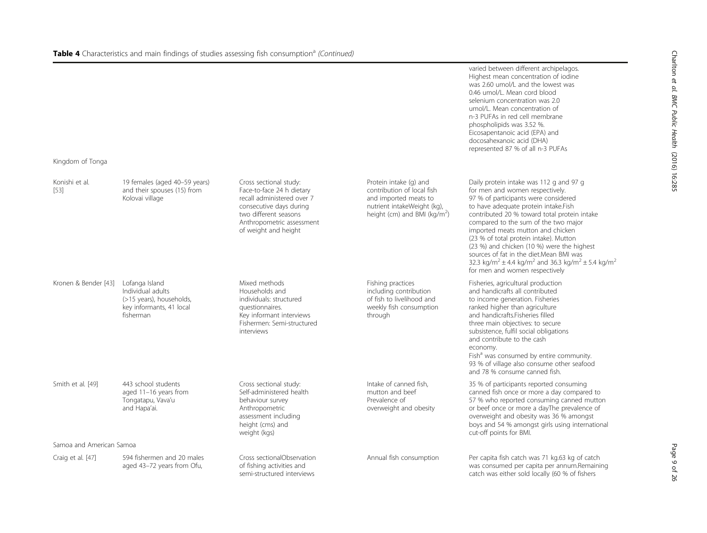|                          |                                                                                                          |                                                                                                                                                                                            |                                                                                                                                                 | varied between different archipelagos.<br>Highest mean concentration of iodine<br>was 2.60 umol/L and the lowest was<br>0.46 umol/L. Mean cord blood<br>selenium concentration was 2.0<br>umol/L. Mean concentration of<br>n-3 PUFAs in red cell membrane<br>phospholipids was 3.52 %.<br>Eicosapentanoic acid (EPA) and<br>docosahexanoic acid (DHA)<br>represented 87 % of all n-3 PUFAs                                                                                                                                                                        |
|--------------------------|----------------------------------------------------------------------------------------------------------|--------------------------------------------------------------------------------------------------------------------------------------------------------------------------------------------|-------------------------------------------------------------------------------------------------------------------------------------------------|-------------------------------------------------------------------------------------------------------------------------------------------------------------------------------------------------------------------------------------------------------------------------------------------------------------------------------------------------------------------------------------------------------------------------------------------------------------------------------------------------------------------------------------------------------------------|
| Kingdom of Tonga         |                                                                                                          |                                                                                                                                                                                            |                                                                                                                                                 |                                                                                                                                                                                                                                                                                                                                                                                                                                                                                                                                                                   |
| Konishi et al.<br>[53]   | 19 females (aged 40-59 years)<br>and their spouses (15) from<br>Kolovai village                          | Cross sectional study:<br>Face-to-face 24 h dietary<br>recall administered over 7<br>consecutive days during<br>two different seasons<br>Anthropometric assessment<br>of weight and height | Protein intake (g) and<br>contribution of local fish<br>and imported meats to<br>nutrient intakeWeight (kg),<br>height (cm) and BMI ( $kg/m2$ ) | Daily protein intake was 112 g and 97 g<br>for men and women respectively.<br>97 % of participants were considered<br>to have adequate protein intake.Fish<br>contributed 20 % toward total protein intake<br>compared to the sum of the two major<br>imported meats mutton and chicken<br>(23 % of total protein intake). Mutton<br>(23 %) and chicken (10 %) were the highest<br>sources of fat in the diet.Mean BMI was<br>32.3 kg/m <sup>2</sup> ± 4.4 kg/m <sup>2</sup> and 36.3 kg/m <sup>2</sup> ± 5.4 kg/m <sup>2</sup><br>for men and women respectively |
| Kronen & Bender [43]     | Lofanga Island<br>Individual adults<br>(>15 years), households,<br>key informants, 41 local<br>fisherman | Mixed methods<br>Households and<br>individuals: structured<br>questionnaires.<br>Key informant interviews<br>Fishermen: Semi-structured<br>interviews                                      | Fishing practices<br>including contribution<br>of fish to livelihood and<br>weekly fish consumption<br>through                                  | Fisheries, agricultural production<br>and handicrafts all contributed<br>to income generation. Fisheries<br>ranked higher than agriculture<br>and handicrafts.Fisheries filled<br>three main objectives: to secure<br>subsistence, fulfil social obligations<br>and contribute to the cash<br>economy.<br>Fish <sup>a</sup> was consumed by entire community.<br>93 % of village also consume other seafood<br>and 78 % consume canned fish.                                                                                                                      |
| Smith et al. [49]        | 443 school students<br>aged 11-16 years from<br>Tongatapu, Vava'u<br>and Hapa'ai.                        | Cross sectional study:<br>Self-administered health<br>behaviour survey<br>Anthropometric<br>assessment including<br>height (cms) and<br>weight (kgs)                                       | Intake of canned fish.<br>mutton and beef<br>Prevalence of<br>overweight and obesity                                                            | 35 % of participants reported consuming<br>canned fish once or more a day compared to<br>57 % who reported consuming canned mutton<br>or beef once or more a dayThe prevalence of<br>overweight and obesity was 36 % amongst<br>boys and 54 % amongst girls using international<br>cut-off points for BMI.                                                                                                                                                                                                                                                        |
| Samoa and American Samoa |                                                                                                          |                                                                                                                                                                                            |                                                                                                                                                 |                                                                                                                                                                                                                                                                                                                                                                                                                                                                                                                                                                   |
| Craig et al. [47]        | 594 fishermen and 20 males<br>aged 43-72 years from Ofu,                                                 | Cross sectionalObservation<br>of fishing activities and<br>semi-structured interviews                                                                                                      | Annual fish consumption                                                                                                                         | Per capita fish catch was 71 kg.63 kg of catch<br>was consumed per capita per annum.Remaining<br>catch was either sold locally (60 % of fishers                                                                                                                                                                                                                                                                                                                                                                                                                   |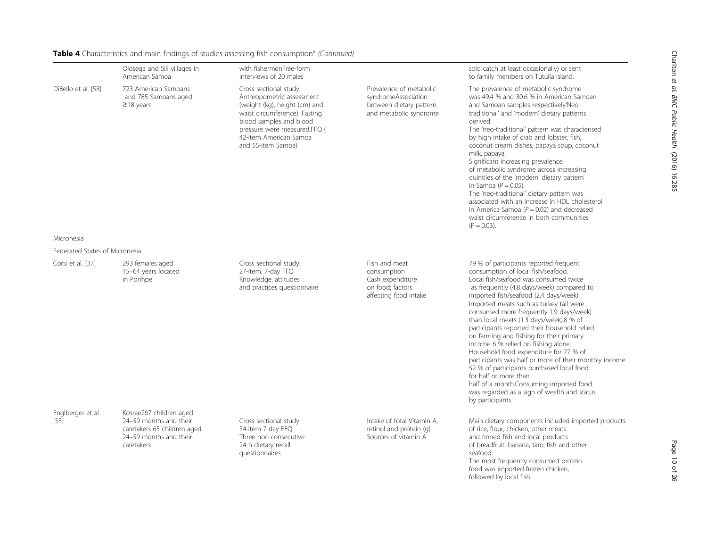# Table 4 Characteristics and main findings of studies assessing fish consumption<sup>a</sup> (Continued)

|                                | Olosega and Sili villages in<br>American Samoa                                                                           | with fishermenFree-form<br>interviews of 20 males                                                                                                                                                                                |                                                                                                     | sold catch at least occasionally) or sent<br>to family members on Tutuila Island.                                                                                                                                                                                                                                                                                                                                                                                                                                                                                                                                                                                                                                                                                      |
|--------------------------------|--------------------------------------------------------------------------------------------------------------------------|----------------------------------------------------------------------------------------------------------------------------------------------------------------------------------------------------------------------------------|-----------------------------------------------------------------------------------------------------|------------------------------------------------------------------------------------------------------------------------------------------------------------------------------------------------------------------------------------------------------------------------------------------------------------------------------------------------------------------------------------------------------------------------------------------------------------------------------------------------------------------------------------------------------------------------------------------------------------------------------------------------------------------------------------------------------------------------------------------------------------------------|
| DiBello et al. [58]            | 723 American Samoans<br>and 785 Samoans aged<br>$\geq$ 18 years                                                          | Cross sectional study:<br>Anthropometric assessment<br>(weight (kg), height (cm) and<br>waist circumference). Fasting<br>blood samples and blood<br>pressure were measured.FFQ (<br>42-item American Samoa<br>and 55-item Samoa) | Prevalence of metabolic<br>syndromeAssociation<br>between dietary pattern<br>and metabolic syndrome | The prevalence of metabolic syndrome<br>was 49.4 % and 30.6 % in American Samoan<br>and Samoan samples respectively'Neo<br>traditional' and 'modern' dietary patterns<br>derived.<br>The 'neo-traditional' pattern was characterised<br>by high intake of crab and lobster, fish,<br>coconut cream dishes, papaya soup, coconut<br>milk, papaya.<br>Significant increasing prevalence<br>of metabolic syndrome across increasing<br>quintiles of the 'modern' dietary pattern<br>in Samoa ( $P = 0.05$ ).<br>The 'neo-traditional' dietary pattern was<br>associated with an increase in HDL cholesterol<br>in America Samoa ( $P = 0.02$ ) and decreased<br>waist circumference in both communities<br>$(P = 0.03)$ .                                                 |
| Micronesia                     |                                                                                                                          |                                                                                                                                                                                                                                  |                                                                                                     |                                                                                                                                                                                                                                                                                                                                                                                                                                                                                                                                                                                                                                                                                                                                                                        |
| Federated States of Micronesia |                                                                                                                          |                                                                                                                                                                                                                                  |                                                                                                     |                                                                                                                                                                                                                                                                                                                                                                                                                                                                                                                                                                                                                                                                                                                                                                        |
| Corsi et al. [37]              | 293 females aged<br>15-64 years located<br>in Ponhpei                                                                    | Cross sectional study:<br>27-item, 7-day FFQ<br>Knowledge, attitudes<br>and practices questionnaire                                                                                                                              | Fish and meat<br>consumption<br>Cash expenditure<br>on food; factors<br>affecting food intake       | 79 % of participants reported frequent<br>consumption of local fish/seafood.<br>Local fish/seafood was consumed twice<br>as frequently (4.8 days/week) compared to<br>imported fish/seafood (2.4 days/week).<br>Imported meats such as turkey tail were<br>consumed more frequently 1.9 days/week)<br>than local meats (1.3 days/week).8 % of<br>participants reported their household relied<br>on farming and fishing for their primary<br>income 6 % relied on fishing alone.<br>Household food expenditure for 77 % of<br>participants was half or more of their monthly income<br>52 % of participants purchased local food<br>for half or more than<br>half of a month.Consuming imported food<br>was regarded as a sign of wealth and status<br>by participants |
| Englberger et al.<br>$[55]$    | Kosrae267 children aged<br>24-59 months and their<br>caretakers 65 children aged<br>24-59 months and their<br>caretakers | Cross sectional study:<br>34-item 7-day FFQ<br>Three non-consecutive<br>24 h dietary recall<br>questionnaires                                                                                                                    | Intake of total Vitamin A,<br>retinol and protein (q).<br>Sources of vitamin A                      | Main dietary components included imported products<br>of rice, flour, chicken, other meats<br>and tinned fish and local products<br>of breadfruit, banana, taro, fish and other<br>seafood.<br>The most frequently consumed protein<br>food was imported frozen chicken,                                                                                                                                                                                                                                                                                                                                                                                                                                                                                               |

followed by local fish.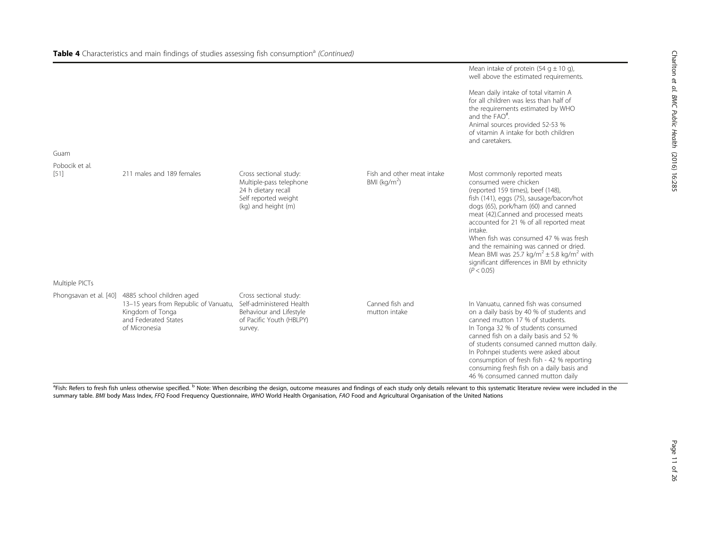|                        |                                                                                                                                 |                                                                                                                         |                                               | Mean intake of protein (54 $q \pm 10$ q),<br>well above the estimated requirements.                                                                                                                                                                                                                                                                                                                                                                                                                 |
|------------------------|---------------------------------------------------------------------------------------------------------------------------------|-------------------------------------------------------------------------------------------------------------------------|-----------------------------------------------|-----------------------------------------------------------------------------------------------------------------------------------------------------------------------------------------------------------------------------------------------------------------------------------------------------------------------------------------------------------------------------------------------------------------------------------------------------------------------------------------------------|
| Guam                   |                                                                                                                                 |                                                                                                                         |                                               | Mean daily intake of total vitamin A<br>for all children was less than half of<br>the requirements estimated by WHO<br>and the $FAO^{\#}$ .<br>Animal sources provided 52-53 %<br>of vitamin A intake for both children<br>and caretakers.                                                                                                                                                                                                                                                          |
| Pobocik et al.         |                                                                                                                                 |                                                                                                                         |                                               |                                                                                                                                                                                                                                                                                                                                                                                                                                                                                                     |
| [51]                   | 211 males and 189 females                                                                                                       | Cross sectional study:<br>Multiple-pass telephone<br>24 h dietary recall<br>Self reported weight<br>(kg) and height (m) | Fish and other meat intake<br>BMI ( $kg/m2$ ) | Most commonly reported meats<br>consumed were chicken<br>(reported 159 times), beef (148),<br>fish (141), eggs (75), sausage/bacon/hot<br>dogs (65), pork/ham (60) and canned<br>meat (42).Canned and processed meats<br>accounted for 21 % of all reported meat<br>intake.<br>When fish was consumed 47 % was fresh<br>and the remaining was canned or dried.<br>Mean BMI was 25.7 kg/m <sup>2</sup> $\pm$ 5.8 kg/m <sup>2</sup> with<br>significant differences in BMI by ethnicity<br>(P < 0.05) |
| Multiple PICTs         |                                                                                                                                 |                                                                                                                         |                                               |                                                                                                                                                                                                                                                                                                                                                                                                                                                                                                     |
| Phongsavan et al. [40] | 4885 school children aged<br>13-15 years from Republic of Vanuatu,<br>Kingdom of Tonga<br>and Federated States<br>of Micronesia | Cross sectional study:<br>Self-administered Health<br>Behaviour and Lifestyle<br>of Pacific Youth (HBLPY)<br>survey.    | Canned fish and<br>mutton intake              | In Vanuatu, canned fish was consumed<br>on a daily basis by 40 % of students and<br>canned mutton 17 % of students.<br>In Tonga 32 % of students consumed<br>canned fish on a daily basis and 52 %<br>of students consumed canned mutton daily.<br>In Pohnpei students were asked about<br>consumption of fresh fish - 42 % reporting<br>consuming fresh fish on a daily basis and<br>46 % consumed canned mutton daily                                                                             |

<sup>a</sup>Fish: Refers to fresh fish unless otherwise specified. <sup>b</sup> Note: When describing the design, outcome measures and findings of each study only details relevant to this systematic literature review were included in the summary table. BMI body Mass Index, FFQ Food Frequency Questionnaire, WHO World Health Organisation, FAO Food and Agricultural Organisation of the United Nations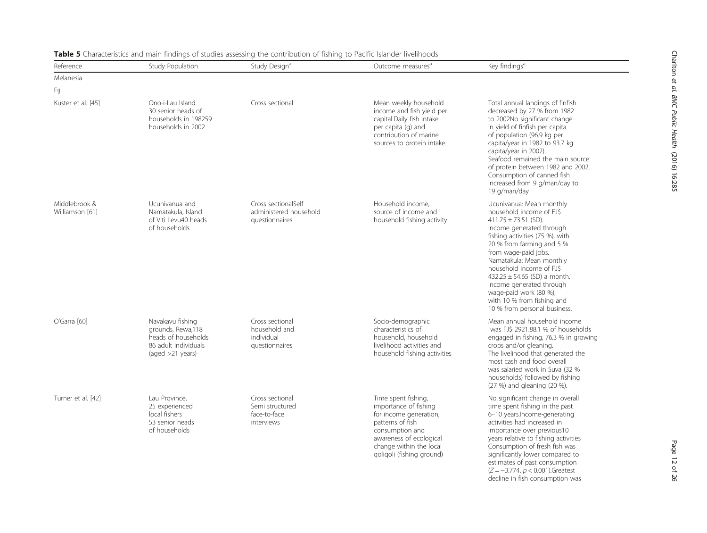| Reference                        | <b>Study Population</b>                                                                                   | Study Design <sup>a</sup>                                        | Outcome measures <sup>a</sup>                                                                                                                                                                    | Key findings <sup>a</sup>                                                                                                                                                                                                                                                                                                                                                                                          |
|----------------------------------|-----------------------------------------------------------------------------------------------------------|------------------------------------------------------------------|--------------------------------------------------------------------------------------------------------------------------------------------------------------------------------------------------|--------------------------------------------------------------------------------------------------------------------------------------------------------------------------------------------------------------------------------------------------------------------------------------------------------------------------------------------------------------------------------------------------------------------|
| Melanesia                        |                                                                                                           |                                                                  |                                                                                                                                                                                                  |                                                                                                                                                                                                                                                                                                                                                                                                                    |
| Fiji                             |                                                                                                           |                                                                  |                                                                                                                                                                                                  |                                                                                                                                                                                                                                                                                                                                                                                                                    |
| Kuster et al. [45]               | Ono-i-Lau Island<br>30 senior heads of<br>households in 198259<br>households in 2002                      | Cross sectional                                                  | Mean weekly household<br>income and fish yield per<br>capital.Daily fish intake<br>per capita (g) and<br>contribution of marine<br>sources to protein intake.                                    | Total annual landings of finfish<br>decreased by 27 % from 1982<br>to 2002No significant change<br>in yield of finfish per capita<br>of population (96.9 kg per<br>capita/year in 1982 to 93.7 kg<br>capita/year in 2002)<br>Seafood remained the main source<br>of protein between 1982 and 2002.<br>Consumption of canned fish<br>increased from 9 g/man/day to<br>19 g/man/day                                  |
| Middlebrook &<br>Williamson [61] | Ucunivanua and<br>Namatakula, Island<br>of Viti Levu40 heads<br>of households                             | Cross sectionalSelf<br>administered household<br>questionnaires  | Household income,<br>source of income and<br>household fishing activity                                                                                                                          | Ucunivanua: Mean monthly<br>household income of FJS<br>$411.75 \pm 73.51$ (SD).<br>Income generated through<br>fishing activities (75 %), with<br>20 % from farming and 5 %<br>from wage-paid jobs.<br>Namatakula: Mean monthly<br>household income of FJS<br>432.25 $\pm$ 54.65 (SD) a month.<br>Income generated through<br>wage-paid work (80 %),<br>with 10 % from fishing and<br>10 % from personal business. |
| O'Garra [60]                     | Navakavu fishing<br>grounds, Rewa, 118<br>heads of households<br>86 adult individuals<br>(aqed >21 years) | Cross sectional<br>household and<br>individual<br>questionnaires | Socio-demographic<br>characteristics of<br>household, household<br>livelihood activities and<br>household fishing activities                                                                     | Mean annual household income<br>was FJ\$ 2921.88.1 % of households<br>engaged in fishing, 76.3 % in growing<br>crops and/or gleaning.<br>The livelihood that generated the<br>most cash and food overall<br>was salaried work in Suva (32 %<br>households) followed by fishing<br>(27 %) and gleaning (20 %).                                                                                                      |
| Turner et al. [42]               | Lau Province,<br>25 experienced<br>local fishers<br>53 senior heads<br>of households                      | Cross sectional<br>Semi structured<br>face-to-face<br>interviews | Time spent fishing,<br>importance of fishing<br>for income generation,<br>patterns of fish<br>consumption and<br>awareness of ecological<br>change within the local<br>qoliqoli (fishing ground) | No significant change in overall<br>time spent fishing in the past<br>6-10 years. Income-generating<br>activities had increased in<br>importance over previous10<br>years relative to fishing activities<br>Consumption of fresh fish was<br>significantly lower compared to<br>estimates of past consumption<br>$(Z = -3.774, p < 0.001)$ . Greatest                                                              |

# <span id="page-11-0"></span>Table 5 Characteristics and main findings of studies assessing the contribution of fishing to Pacific Islander livelihoods

decline in fish consumption was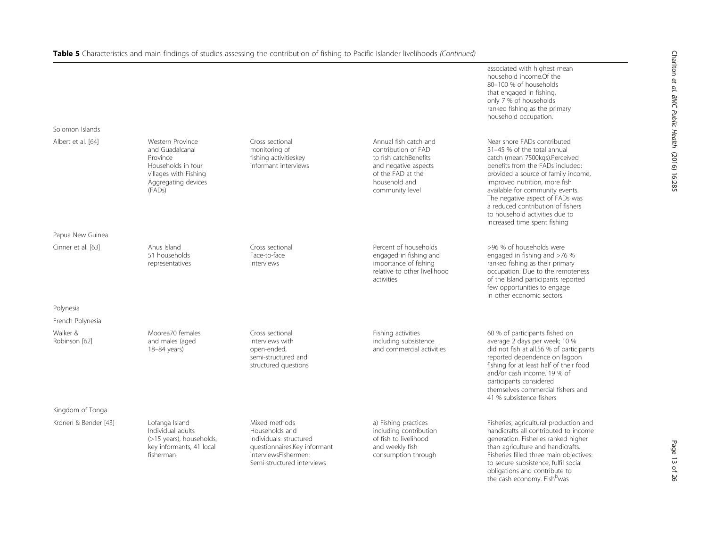# Table 5 Characteristics and main findings of studies assessing the contribution of fishing to Pacific Islander livelihoods (Continued)

|                           |                                                                                                                                 |                                                                                                                                                  |                                                                                                                                                        | associated with highest mean<br>household income.Of the<br>80-100 % of households<br>that engaged in fishing,<br>only 7 % of households<br>ranked fishing as the primary<br>household occupation.                                                                                                                                                                                     |
|---------------------------|---------------------------------------------------------------------------------------------------------------------------------|--------------------------------------------------------------------------------------------------------------------------------------------------|--------------------------------------------------------------------------------------------------------------------------------------------------------|---------------------------------------------------------------------------------------------------------------------------------------------------------------------------------------------------------------------------------------------------------------------------------------------------------------------------------------------------------------------------------------|
| Solomon Islands           |                                                                                                                                 |                                                                                                                                                  |                                                                                                                                                        |                                                                                                                                                                                                                                                                                                                                                                                       |
| Albert et al. [64]        | Western Province<br>and Guadalcanal<br>Province<br>Households in four<br>villages with Fishing<br>Aggregating devices<br>(FADs) | Cross sectional<br>monitoring of<br>fishing activitieskey<br>informant interviews                                                                | Annual fish catch and<br>contribution of FAD<br>to fish catchBenefits<br>and negative aspects<br>of the FAD at the<br>household and<br>community level | Near shore FADs contributed<br>31-45 % of the total annual<br>catch (mean 7500kgs).Perceived<br>benefits from the FADs included:<br>provided a source of family income,<br>improved nutrition, more fish<br>available for community events.<br>The negative aspect of FADs was<br>a reduced contribution of fishers<br>to household activities due to<br>increased time spent fishing |
| Papua New Guinea          |                                                                                                                                 |                                                                                                                                                  |                                                                                                                                                        |                                                                                                                                                                                                                                                                                                                                                                                       |
| Cinner et al. [63]        | Ahus Island<br>51 households<br>representatives                                                                                 | Cross sectional<br>Face-to-face<br>interviews                                                                                                    | Percent of households<br>engaged in fishing and<br>importance of fishing<br>relative to other livelihood<br>activities                                 | >96 % of households were<br>engaged in fishing and >76 %<br>ranked fishing as their primary<br>occupation. Due to the remoteness<br>of the Island participants reported<br>few opportunities to engage<br>in other economic sectors.                                                                                                                                                  |
| Polynesia                 |                                                                                                                                 |                                                                                                                                                  |                                                                                                                                                        |                                                                                                                                                                                                                                                                                                                                                                                       |
| French Polynesia          |                                                                                                                                 |                                                                                                                                                  |                                                                                                                                                        |                                                                                                                                                                                                                                                                                                                                                                                       |
| Walker &<br>Robinson [62] | Moorea70 females<br>and males (aged<br>18-84 years)                                                                             | Cross sectional<br>interviews with<br>open-ended.<br>semi-structured and<br>structured questions                                                 | Fishing activities<br>including subsistence<br>and commercial activities                                                                               | 60 % of participants fished on<br>average 2 days per week; 10 %<br>did not fish at all.56 % of participants<br>reported dependence on lagoon<br>fishing for at least half of their food<br>and/or cash income, 19 % of<br>participants considered<br>themselves commercial fishers and<br>41 % subsistence fishers                                                                    |
| Kingdom of Tonga          |                                                                                                                                 |                                                                                                                                                  |                                                                                                                                                        |                                                                                                                                                                                                                                                                                                                                                                                       |
| Kronen & Bender [43]      | Lofanga Island<br>Individual adults<br>(>15 years), households,<br>key informants, 41 local<br>fisherman                        | Mixed methods<br>Households and<br>individuals: structured<br>questionnaires.Key informant<br>interviewsFishermen:<br>Semi-structured interviews | a) Fishing practices<br>including contribution<br>of fish to livelihood<br>and weekly fish<br>consumption through                                      | Fisheries, agricultural production and<br>handicrafts all contributed to income<br>generation. Fisheries ranked higher<br>than agriculture and handicrafts.<br>Fisheries filled three main objectives:<br>to secure subsistence, fulfil social<br>obligations and contribute to<br>the cash economy. Fish <sup>b</sup> was                                                            |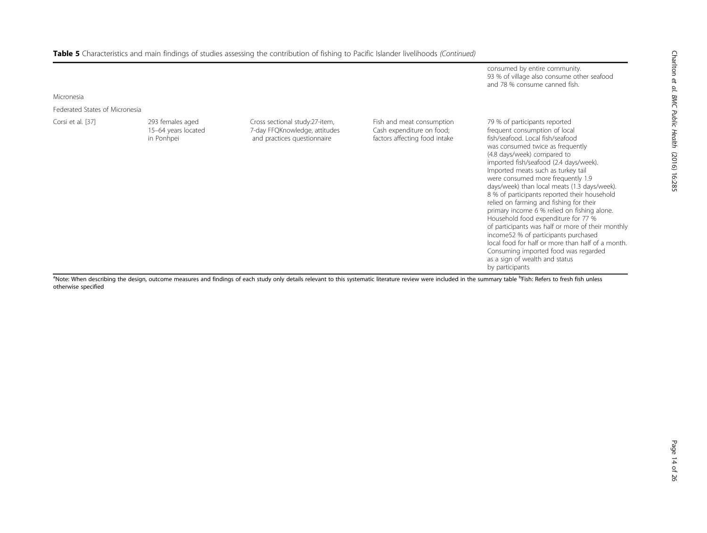|                                |                                                       |                                                                                                |                                                                                         | consumed by entire community.<br>93 % of village also consume other seafood<br>and 78 % consume canned fish.                                                                                                                                                                                                                                                                                                                                                                                                                                                                                                                                                                                                                                                               |
|--------------------------------|-------------------------------------------------------|------------------------------------------------------------------------------------------------|-----------------------------------------------------------------------------------------|----------------------------------------------------------------------------------------------------------------------------------------------------------------------------------------------------------------------------------------------------------------------------------------------------------------------------------------------------------------------------------------------------------------------------------------------------------------------------------------------------------------------------------------------------------------------------------------------------------------------------------------------------------------------------------------------------------------------------------------------------------------------------|
| Micronesia                     |                                                       |                                                                                                |                                                                                         |                                                                                                                                                                                                                                                                                                                                                                                                                                                                                                                                                                                                                                                                                                                                                                            |
| Federated States of Micronesia |                                                       |                                                                                                |                                                                                         |                                                                                                                                                                                                                                                                                                                                                                                                                                                                                                                                                                                                                                                                                                                                                                            |
| Corsi et al. [37]              | 293 females aged<br>15-64 years located<br>in Ponhpei | Cross sectional study:27-item,<br>7-day FFQKnowledge, attitudes<br>and practices questionnaire | Fish and meat consumption<br>Cash expenditure on food;<br>factors affecting food intake | 79 % of participants reported<br>frequent consumption of local<br>fish/seafood. Local fish/seafood<br>was consumed twice as frequently<br>(4.8 days/week) compared to<br>imported fish/seafood (2.4 days/week).<br>Imported meats such as turkey tail<br>were consumed more frequently 1.9<br>days/week) than local meats (1.3 days/week).<br>8 % of participants reported their household<br>relied on farming and fishing for their<br>primary income 6 % relied on fishing alone.<br>Household food expenditure for 77 %<br>of participants was half or more of their monthly<br>income52 % of participants purchased<br>local food for half or more than half of a month.<br>Consuming imported food was regarded<br>as a sign of wealth and status<br>by participants |

<sup>a</sup>Note: When describing the design, outcome measures and findings of each study only details relevant to this systematic literature review were included in the summary table <sup>b</sup>Fish: Refers to fresh fish unless otherwise specified

## Table 5 Characteristics and main findings of studies assessing the contribution of fishing to Pacific Islander livelihoods (Continued)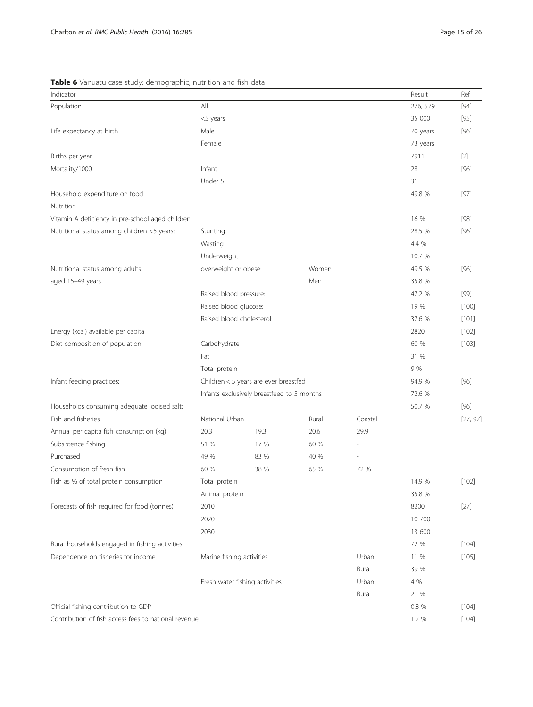| Indicator                                        |                                                      |                                            |        |         | Result         | Ref            |
|--------------------------------------------------|------------------------------------------------------|--------------------------------------------|--------|---------|----------------|----------------|
| Population                                       | All                                                  |                                            |        |         | 276, 579       | $[94]$         |
|                                                  | <5 years                                             |                                            |        |         | 35 000         | $[95]$         |
| Life expectancy at birth                         | Male                                                 |                                            |        |         | 70 years       | $[96]$         |
|                                                  | Female                                               |                                            |        |         | 73 years       |                |
| Births per year                                  |                                                      |                                            |        |         | 7911           | $[2]$          |
| Mortality/1000                                   | Infant                                               |                                            |        |         | 28             | $[96]$         |
|                                                  | Under 5                                              |                                            |        |         | 31             |                |
| Household expenditure on food                    |                                                      |                                            |        |         | 49.8 %         | $[97]$         |
| Nutrition                                        |                                                      |                                            |        |         |                |                |
| Vitamin A deficiency in pre-school aged children |                                                      |                                            |        |         | 16 %           | $[98]$         |
| Nutritional status among children <5 years:      | Stunting                                             |                                            |        |         | 28.5 %         | $[96]$         |
|                                                  | Wasting                                              |                                            |        |         | 4.4 %          |                |
|                                                  | Underweight                                          |                                            |        |         | 10.7 %         |                |
| Nutritional status among adults                  | overweight or obese:<br>Women                        |                                            |        |         | 49.5 %         | $[96]$         |
| aged 15-49 years                                 |                                                      |                                            | Men    |         | 35.8 %         |                |
|                                                  | Raised blood pressure:                               |                                            | 47.2 % | $[99]$  |                |                |
|                                                  | Raised blood glucose:                                |                                            | 19 %   | $[100]$ |                |                |
|                                                  |                                                      | Raised blood cholesterol:                  | 37.6 % | [101]   |                |                |
| Energy (kcal) available per capita               |                                                      |                                            |        |         | 2820           | [102]          |
| Diet composition of population:                  | Carbohydrate                                         |                                            |        |         | 60 %           | [103]          |
|                                                  | Fat                                                  |                                            | 31 %   |         |                |                |
|                                                  | Total protein                                        |                                            | 9 %    |         |                |                |
| Infant feeding practices:                        |                                                      | Children < 5 years are ever breastfed      |        |         | 94.9 %         | $[96]$         |
|                                                  |                                                      | Infants exclusively breastfeed to 5 months |        |         | 72.6 %         |                |
| Households consuming adequate iodised salt:      |                                                      |                                            |        |         | 50.7 %         | $[96]$         |
| Fish and fisheries                               | National Urban                                       |                                            | Rural  | Coastal |                | [27, 97]       |
| Annual per capita fish consumption (kg)          | 20.3                                                 | 19.3                                       | 20.6   | 29.9    |                |                |
| Subsistence fishing                              | 51 %                                                 | 17 %                                       | 60 %   |         |                |                |
| Purchased                                        | 49 %                                                 | 83 %                                       | 40 %   |         |                |                |
| Consumption of fresh fish                        | 60 %                                                 | 38 %                                       | 65 %   | 72 %    |                |                |
| Fish as % of total protein consumption           | Total protein                                        |                                            |        |         | 14.9 %         | [102]          |
|                                                  | Animal protein                                       |                                            |        |         | 35.8 %         |                |
| Forecasts of fish required for food (tonnes)     | 2010                                                 |                                            |        |         | 8200           | $[27]$         |
|                                                  | 2020                                                 |                                            |        |         | 10 700         |                |
|                                                  | 2030                                                 |                                            |        |         | 13 600         |                |
| Rural households engaged in fishing activities   |                                                      |                                            |        | 72 %    | [104]          |                |
| Dependence on fisheries for income :             | Urban<br>Marine fishing activities<br>Rural          |                                            |        |         | 11 %           | [105]          |
|                                                  |                                                      |                                            |        |         | 39 %           |                |
|                                                  | Fresh water fishing activities<br>Urban              |                                            |        | 4 %     |                |                |
|                                                  |                                                      |                                            |        | Rural   | 21 %           |                |
| Official fishing contribution to GDP             |                                                      |                                            |        |         | 0.8 %<br>1.2 % | [104]<br>[104] |
|                                                  | Contribution of fish access fees to national revenue |                                            |        |         |                |                |

<span id="page-14-0"></span>Table 6 Vanuatu case study: demographic, nutrition and fish data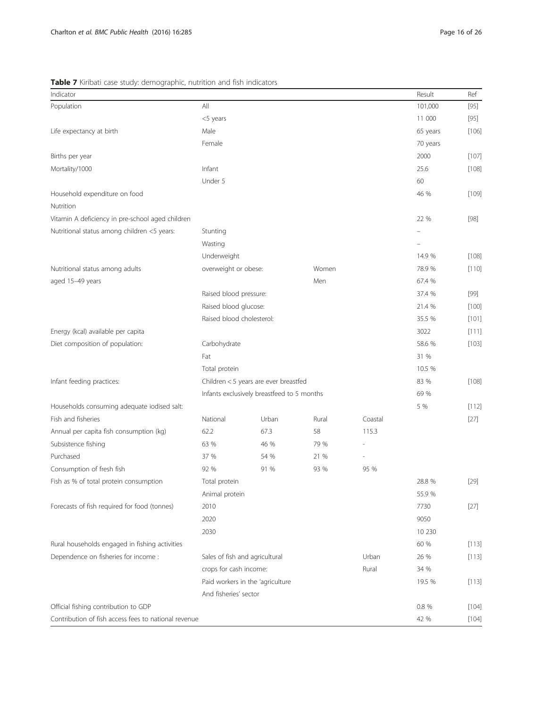| Indicator                                            |                                            |        |         |         | Result   | Ref     |
|------------------------------------------------------|--------------------------------------------|--------|---------|---------|----------|---------|
| Population                                           | All                                        |        |         |         | 101,000  | $[95]$  |
|                                                      | <5 years                                   |        |         |         | 11 000   | $[95]$  |
| Life expectancy at birth                             | Male                                       |        |         |         | 65 years | [106]   |
|                                                      | Female                                     |        |         |         | 70 years |         |
| Births per year                                      |                                            |        |         |         | 2000     | $[107]$ |
| Mortality/1000                                       | Infant                                     |        |         |         | 25.6     | [108]   |
|                                                      | Under 5                                    |        |         |         | 60       |         |
| Household expenditure on food                        |                                            |        |         |         | 46 %     | [109]   |
| Nutrition                                            |                                            |        |         |         |          |         |
| Vitamin A deficiency in pre-school aged children     |                                            |        |         |         | 22 %     | $[98]$  |
| Nutritional status among children <5 years:          | Stunting                                   |        |         |         |          |         |
|                                                      | Wasting                                    |        |         |         |          |         |
|                                                      | Underweight                                |        |         |         | 14.9 %   | [108]   |
| Nutritional status among adults                      | overweight or obese:                       |        | Women   |         | 78.9 %   | [110]   |
| aged 15-49 years                                     |                                            |        | Men     |         | 67.4 %   |         |
|                                                      | Raised blood pressure:                     |        |         |         | 37.4 %   | $[99]$  |
|                                                      | Raised blood glucose:                      | 21.4 % | $[100]$ |         |          |         |
|                                                      | Raised blood cholesterol:                  | 35.5 % | [101]   |         |          |         |
| Energy (kcal) available per capita                   |                                            |        |         |         | 3022     | [111]   |
| Diet composition of population:                      | Carbohydrate                               | 58.6 % | [103]   |         |          |         |
|                                                      | Fat                                        | 31 %   |         |         |          |         |
|                                                      | Total protein                              | 10.5 % |         |         |          |         |
| Infant feeding practices:                            | Children < 5 years are ever breastfed      | 83 %   | [108]   |         |          |         |
|                                                      | Infants exclusively breastfeed to 5 months | 69 %   |         |         |          |         |
| Households consuming adequate iodised salt:          |                                            |        |         |         | 5 %      | [112]   |
| Fish and fisheries                                   | National                                   | Urban  | Rural   | Coastal |          | $[27]$  |
| Annual per capita fish consumption (kg)              | 62.2                                       | 67.3   | 58      | 115.3   |          |         |
| Subsistence fishing                                  | 63 %                                       | 46 %   | 79 %    |         |          |         |
| Purchased                                            | 37 %                                       | 54 %   | 21 %    |         |          |         |
| Consumption of fresh fish                            | 92 %                                       | 91 %   | 93 %    | 95 %    |          |         |
| Fish as % of total protein consumption               | Total protein                              |        |         |         | 28.8 %   | $[29]$  |
|                                                      | Animal protein                             |        |         |         | 55.9 %   |         |
| Forecasts of fish required for food (tonnes)         | 2010                                       |        |         |         | 7730     | [27]    |
|                                                      | 2020                                       | 9050   |         |         |          |         |
|                                                      | 2030                                       | 10 230 |         |         |          |         |
| Rural households engaged in fishing activities       |                                            |        |         |         | 60 %     | [113]   |
| Dependence on fisheries for income :                 | Sales of fish and agricultural<br>Urban    |        |         |         | 26 %     | [113]   |
|                                                      | crops for cash income:<br>Rural            |        |         |         | 34 %     |         |
|                                                      | Paid workers in the 'agriculture           |        |         |         | 19.5 %   | [113]   |
|                                                      | And fisheries' sector                      |        |         |         |          |         |
| Official fishing contribution to GDP                 |                                            |        |         |         |          | [104]   |
| Contribution of fish access fees to national revenue |                                            |        |         |         | 42 %     | [104]   |

<span id="page-15-0"></span>Table 7 Kiribati case study: demographic, nutrition and fish indicators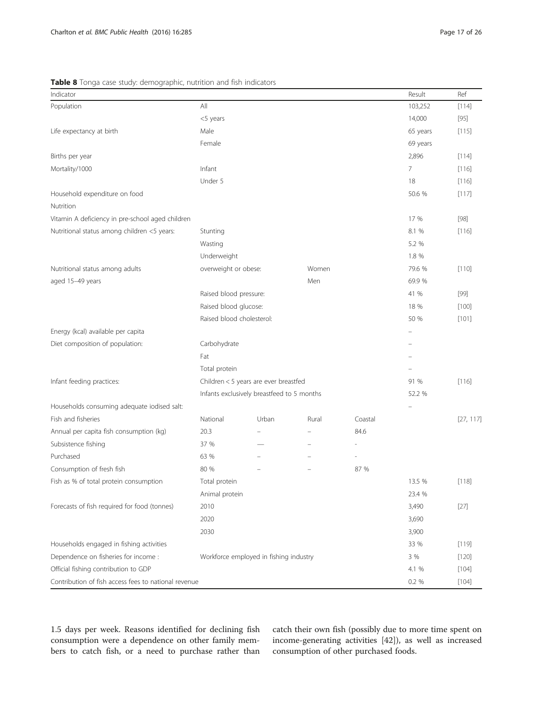| Indicator                                            |                                        |                                            |        |         | Result   | Ref       |
|------------------------------------------------------|----------------------------------------|--------------------------------------------|--------|---------|----------|-----------|
| Population                                           | All                                    |                                            |        |         | 103,252  | [114]     |
|                                                      | <5 years                               |                                            | 14,000 | $[95]$  |          |           |
| Life expectancy at birth                             | Male                                   |                                            |        |         | 65 years | [115]     |
|                                                      | Female                                 |                                            |        |         | 69 years |           |
| Births per year                                      |                                        |                                            |        |         | 2,896    | [114]     |
| Mortality/1000                                       | Infant                                 |                                            |        |         | 7        | [116]     |
|                                                      | Under 5                                |                                            |        |         | 18       | [116]     |
| Household expenditure on food                        |                                        |                                            |        |         | 50.6 %   | [117]     |
| Nutrition                                            |                                        |                                            |        |         |          |           |
| Vitamin A deficiency in pre-school aged children     |                                        |                                            |        |         | 17 %     | $[98]$    |
| Nutritional status among children <5 years:          | Stunting                               |                                            |        |         | 8.1 %    | [116]     |
|                                                      | Wasting                                |                                            | 5.2 %  |         |          |           |
|                                                      | Underweight                            |                                            |        |         | 1.8 %    |           |
| Nutritional status among adults                      | overweight or obese:                   |                                            | Women  |         | 79.6 %   | [110]     |
| aged 15-49 years                                     |                                        |                                            | Men    |         | 69.9 %   |           |
|                                                      | Raised blood pressure:                 |                                            |        |         | 41 %     | $[99]$    |
|                                                      | Raised blood glucose:                  |                                            | 18 %   | $[100]$ |          |           |
|                                                      | Raised blood cholesterol:              |                                            | 50 %   | [101]   |          |           |
| Energy (kcal) available per capita                   |                                        |                                            |        |         | $\equiv$ |           |
| Diet composition of population:                      | Carbohydrate                           |                                            |        |         |          |           |
|                                                      | Fat                                    |                                            |        |         |          |           |
|                                                      | Total protein                          |                                            |        |         |          |           |
| Infant feeding practices:                            | Children < 5 years are ever breastfed  | 91 %                                       | [116]  |         |          |           |
|                                                      |                                        | Infants exclusively breastfeed to 5 months | 52.2 % |         |          |           |
| Households consuming adequate iodised salt:          |                                        |                                            |        |         |          |           |
| Fish and fisheries                                   | National                               | Urban                                      | Rural  | Coastal |          | [27, 117] |
| Annual per capita fish consumption (kg)              | 20.3                                   |                                            |        | 84.6    |          |           |
| Subsistence fishing                                  | 37 %                                   |                                            |        |         |          |           |
| Purchased                                            | 63 %                                   |                                            |        |         |          |           |
| Consumption of fresh fish                            | 80 %                                   |                                            |        | 87 %    |          |           |
| Fish as % of total protein consumption               | Total protein                          |                                            |        |         | 13.5 %   | [118]     |
|                                                      | Animal protein                         |                                            |        |         | 23.4 %   |           |
| Forecasts of fish required for food (tonnes)         | 2010                                   |                                            |        |         | 3,490    | $[27]$    |
|                                                      | 2020                                   | 3,690                                      |        |         |          |           |
|                                                      | 2030                                   |                                            | 3,900  |         |          |           |
| Households engaged in fishing activities             |                                        |                                            |        |         |          | [119]     |
| Dependence on fisheries for income :                 | Workforce employed in fishing industry |                                            |        |         |          | [120]     |
| Official fishing contribution to GDP                 |                                        |                                            |        |         | 4.1 %    | [104]     |
| Contribution of fish access fees to national revenue |                                        |                                            |        |         |          | [104]     |

<span id="page-16-0"></span>Table 8 Tonga case study: demographic, nutrition and fish indicators

1.5 days per week. Reasons identified for declining fish consumption were a dependence on other family members to catch fish, or a need to purchase rather than

catch their own fish (possibly due to more time spent on income-generating activities [[42](#page-24-0)]), as well as increased consumption of other purchased foods.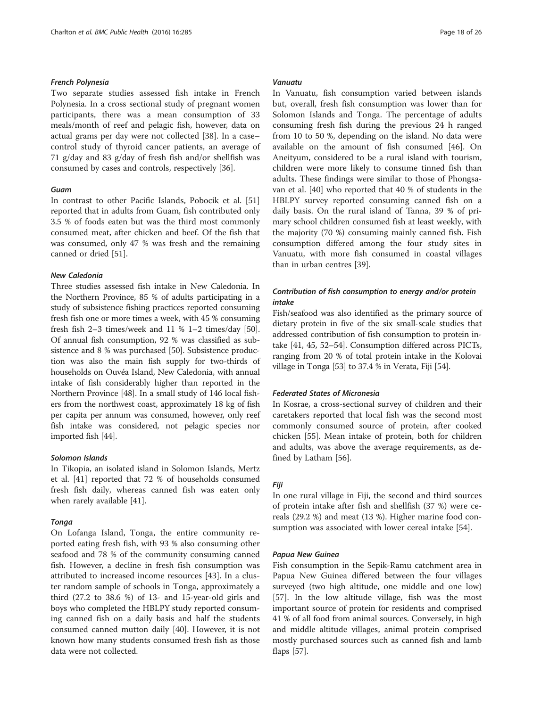## French Polynesia

Two separate studies assessed fish intake in French Polynesia. In a cross sectional study of pregnant women participants, there was a mean consumption of 33 meals/month of reef and pelagic fish, however, data on actual grams per day were not collected [\[38\]](#page-24-0). In a case– control study of thyroid cancer patients, an average of 71 g/day and 83 g/day of fresh fish and/or shellfish was consumed by cases and controls, respectively [[36\]](#page-23-0).

#### Guam

In contrast to other Pacific Islands, Pobocik et al. [[51](#page-24-0)] reported that in adults from Guam, fish contributed only 3.5 % of foods eaten but was the third most commonly consumed meat, after chicken and beef. Of the fish that was consumed, only 47 % was fresh and the remaining canned or dried [[51\]](#page-24-0).

#### New Caledonia

Three studies assessed fish intake in New Caledonia. In the Northern Province, 85 % of adults participating in a study of subsistence fishing practices reported consuming fresh fish one or more times a week, with 45 % consuming fresh fish 2–3 times/week and 11 % 1–2 times/day [[50](#page-24-0)]. Of annual fish consumption, 92 % was classified as subsistence and 8 % was purchased [\[50](#page-24-0)]. Subsistence production was also the main fish supply for two-thirds of households on Ouvéa Island, New Caledonia, with annual intake of fish considerably higher than reported in the Northern Province [\[48\]](#page-24-0). In a small study of 146 local fishers from the northwest coast, approximately 18 kg of fish per capita per annum was consumed, however, only reef fish intake was considered, not pelagic species nor imported fish [\[44\]](#page-24-0).

## Solomon Islands

In Tikopia, an isolated island in Solomon Islands, Mertz et al. [[41\]](#page-24-0) reported that 72 % of households consumed fresh fish daily, whereas canned fish was eaten only when rarely available [[41](#page-24-0)].

#### Tonga

On Lofanga Island, Tonga, the entire community reported eating fresh fish, with 93 % also consuming other seafood and 78 % of the community consuming canned fish. However, a decline in fresh fish consumption was attributed to increased income resources [\[43](#page-24-0)]. In a cluster random sample of schools in Tonga, approximately a third (27.2 to 38.6 %) of 13- and 15-year-old girls and boys who completed the HBLPY study reported consuming canned fish on a daily basis and half the students consumed canned mutton daily [\[40\]](#page-24-0). However, it is not known how many students consumed fresh fish as those data were not collected.

#### Vanuatu

In Vanuatu, fish consumption varied between islands but, overall, fresh fish consumption was lower than for Solomon Islands and Tonga. The percentage of adults consuming fresh fish during the previous 24 h ranged from 10 to 50 %, depending on the island. No data were available on the amount of fish consumed [\[46](#page-24-0)]. On Aneityum, considered to be a rural island with tourism, children were more likely to consume tinned fish than adults. These findings were similar to those of Phongsavan et al. [[40](#page-24-0)] who reported that 40 % of students in the HBLPY survey reported consuming canned fish on a daily basis. On the rural island of Tanna, 39 % of primary school children consumed fish at least weekly, with the majority (70 %) consuming mainly canned fish. Fish consumption differed among the four study sites in Vanuatu, with more fish consumed in coastal villages than in urban centres [\[39\]](#page-24-0).

## Contribution of fish consumption to energy and/or protein intake

Fish/seafood was also identified as the primary source of dietary protein in five of the six small-scale studies that addressed contribution of fish consumption to protein intake [[41](#page-24-0), [45](#page-24-0), [52](#page-24-0)–[54\]](#page-24-0). Consumption differed across PICTs, ranging from 20 % of total protein intake in the Kolovai village in Tonga [\[53\]](#page-24-0) to 37.4 % in Verata, Fiji [[54](#page-24-0)].

#### Federated States of Micronesia

In Kosrae, a cross-sectional survey of children and their caretakers reported that local fish was the second most commonly consumed source of protein, after cooked chicken [\[55](#page-24-0)]. Mean intake of protein, both for children and adults, was above the average requirements, as defined by Latham [[56\]](#page-24-0).

#### Fiji

In one rural village in Fiji, the second and third sources of protein intake after fish and shellfish (37 %) were cereals (29.2 %) and meat (13 %). Higher marine food consumption was associated with lower cereal intake [[54\]](#page-24-0).

#### Papua New Guinea

Fish consumption in the Sepik-Ramu catchment area in Papua New Guinea differed between the four villages surveyed (two high altitude, one middle and one low) [[57\]](#page-24-0). In the low altitude village, fish was the most important source of protein for residents and comprised 41 % of all food from animal sources. Conversely, in high and middle altitude villages, animal protein comprised mostly purchased sources such as canned fish and lamb flaps [[57](#page-24-0)].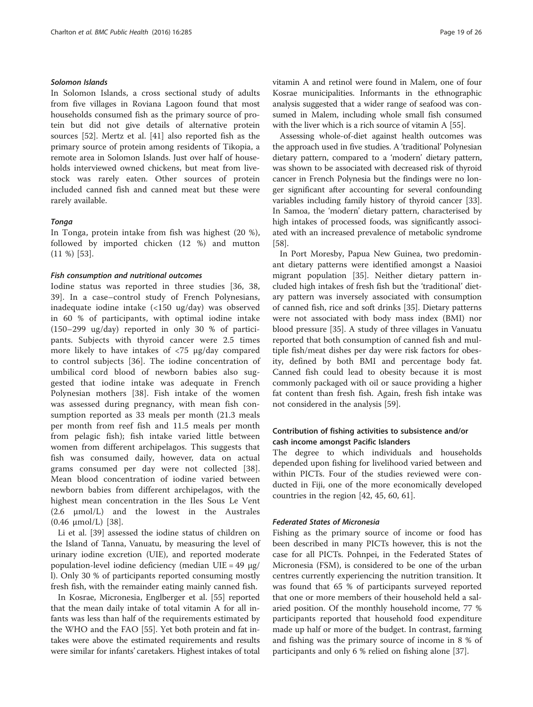### Solomon Islands

In Solomon Islands, a cross sectional study of adults from five villages in Roviana Lagoon found that most households consumed fish as the primary source of protein but did not give details of alternative protein sources [\[52](#page-24-0)]. Mertz et al. [[41](#page-24-0)] also reported fish as the primary source of protein among residents of Tikopia, a remote area in Solomon Islands. Just over half of households interviewed owned chickens, but meat from livestock was rarely eaten. Other sources of protein included canned fish and canned meat but these were rarely available.

#### Tonga

In Tonga, protein intake from fish was highest (20 %), followed by imported chicken (12 %) and mutton (11 %) [\[53](#page-24-0)].

#### Fish consumption and nutritional outcomes

Iodine status was reported in three studies [\[36](#page-23-0), [38](#page-24-0), [39\]](#page-24-0). In a case–control study of French Polynesians, inadequate iodine intake (<150 ug/day) was observed in 60 % of participants, with optimal iodine intake (150–299 ug/day) reported in only 30 % of participants. Subjects with thyroid cancer were 2.5 times more likely to have intakes of <75 µg/day compared to control subjects [[36\]](#page-23-0). The iodine concentration of umbilical cord blood of newborn babies also suggested that iodine intake was adequate in French Polynesian mothers [[38\]](#page-24-0). Fish intake of the women was assessed during pregnancy, with mean fish consumption reported as 33 meals per month (21.3 meals per month from reef fish and 11.5 meals per month from pelagic fish); fish intake varied little between women from different archipelagos. This suggests that fish was consumed daily, however, data on actual grams consumed per day were not collected [\[38](#page-24-0)]. Mean blood concentration of iodine varied between newborn babies from different archipelagos, with the highest mean concentration in the Iles Sous Le Vent (2.6 μmol/L) and the lowest in the Australes  $(0.46 \mu mol/L)$  [\[38](#page-24-0)].

Li et al. [[39\]](#page-24-0) assessed the iodine status of children on the Island of Tanna, Vanuatu, by measuring the level of urinary iodine excretion (UIE), and reported moderate population-level iodine deficiency (median UIE = 49 μg/ l). Only 30 % of participants reported consuming mostly fresh fish, with the remainder eating mainly canned fish.

In Kosrae, Micronesia, Englberger et al. [[55\]](#page-24-0) reported that the mean daily intake of total vitamin A for all infants was less than half of the requirements estimated by the WHO and the FAO [[55\]](#page-24-0). Yet both protein and fat intakes were above the estimated requirements and results were similar for infants' caretakers. Highest intakes of total vitamin A and retinol were found in Malem, one of four Kosrae municipalities. Informants in the ethnographic analysis suggested that a wider range of seafood was consumed in Malem, including whole small fish consumed with the liver which is a rich source of vitamin A [[55](#page-24-0)].

Assessing whole-of-diet against health outcomes was the approach used in five studies. A 'traditional' Polynesian dietary pattern, compared to a 'modern' dietary pattern, was shown to be associated with decreased risk of thyroid cancer in French Polynesia but the findings were no longer significant after accounting for several confounding variables including family history of thyroid cancer [[33](#page-23-0)]. In Samoa, the 'modern' dietary pattern, characterised by high intakes of processed foods, was significantly associated with an increased prevalence of metabolic syndrome [[58](#page-24-0)].

In Port Moresby, Papua New Guinea, two predominant dietary patterns were identified amongst a Naasioi migrant population [\[35](#page-23-0)]. Neither dietary pattern included high intakes of fresh fish but the 'traditional' dietary pattern was inversely associated with consumption of canned fish, rice and soft drinks [\[35](#page-23-0)]. Dietary patterns were not associated with body mass index (BMI) nor blood pressure [[35](#page-23-0)]. A study of three villages in Vanuatu reported that both consumption of canned fish and multiple fish/meat dishes per day were risk factors for obesity, defined by both BMI and percentage body fat. Canned fish could lead to obesity because it is most commonly packaged with oil or sauce providing a higher fat content than fresh fish. Again, fresh fish intake was not considered in the analysis [[59](#page-24-0)].

## Contribution of fishing activities to subsistence and/or cash income amongst Pacific Islanders

The degree to which individuals and households depended upon fishing for livelihood varied between and within PICTs. Four of the studies reviewed were conducted in Fiji, one of the more economically developed countries in the region [\[42](#page-24-0), [45, 60, 61\]](#page-24-0).

#### Federated States of Micronesia

Fishing as the primary source of income or food has been described in many PICTs however, this is not the case for all PICTs. Pohnpei, in the Federated States of Micronesia (FSM), is considered to be one of the urban centres currently experiencing the nutrition transition. It was found that 65 % of participants surveyed reported that one or more members of their household held a salaried position. Of the monthly household income, 77 % participants reported that household food expenditure made up half or more of the budget. In contrast, farming and fishing was the primary source of income in 8 % of participants and only 6 % relied on fishing alone [\[37\]](#page-23-0).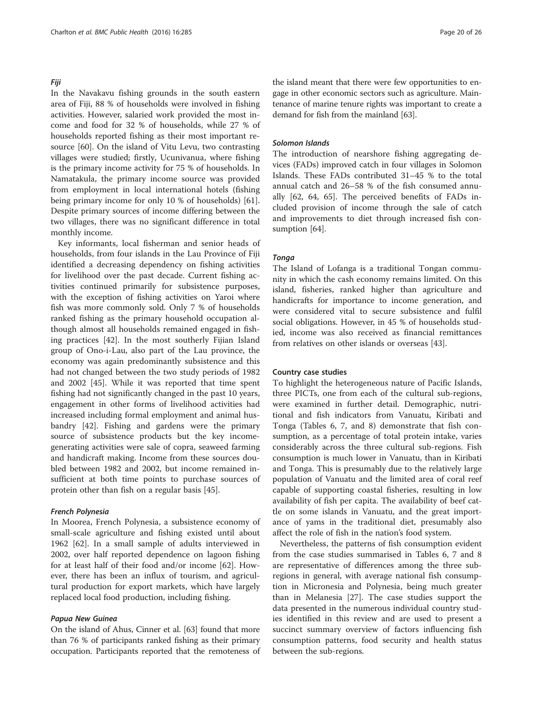#### Fiji

In the Navakavu fishing grounds in the south eastern area of Fiji, 88 % of households were involved in fishing activities. However, salaried work provided the most income and food for 32 % of households, while 27 % of households reported fishing as their most important resource [[60\]](#page-24-0). On the island of Vitu Levu, two contrasting villages were studied; firstly, Ucunivanua, where fishing is the primary income activity for 75 % of households. In Namatakula, the primary income source was provided from employment in local international hotels (fishing being primary income for only 10 % of households) [\[61](#page-24-0)]. Despite primary sources of income differing between the two villages, there was no significant difference in total monthly income.

Key informants, local fisherman and senior heads of households, from four islands in the Lau Province of Fiji identified a decreasing dependency on fishing activities for livelihood over the past decade. Current fishing activities continued primarily for subsistence purposes, with the exception of fishing activities on Yaroi where fish was more commonly sold. Only 7 % of households ranked fishing as the primary household occupation although almost all households remained engaged in fishing practices [[42](#page-24-0)]. In the most southerly Fijian Island group of Ono-i-Lau, also part of the Lau province, the economy was again predominantly subsistence and this had not changed between the two study periods of 1982 and 2002 [\[45](#page-24-0)]. While it was reported that time spent fishing had not significantly changed in the past 10 years, engagement in other forms of livelihood activities had increased including formal employment and animal husbandry [[42\]](#page-24-0). Fishing and gardens were the primary source of subsistence products but the key incomegenerating activities were sale of copra, seaweed farming and handicraft making. Income from these sources doubled between 1982 and 2002, but income remained insufficient at both time points to purchase sources of protein other than fish on a regular basis [[45\]](#page-24-0).

#### French Polynesia

In Moorea, French Polynesia, a subsistence economy of small-scale agriculture and fishing existed until about 1962 [\[62](#page-24-0)]. In a small sample of adults interviewed in 2002, over half reported dependence on lagoon fishing for at least half of their food and/or income [[62](#page-24-0)]. However, there has been an influx of tourism, and agricultural production for export markets, which have largely replaced local food production, including fishing.

#### Papua New Guinea

On the island of Ahus, Cinner et al. [\[63\]](#page-24-0) found that more than 76 % of participants ranked fishing as their primary occupation. Participants reported that the remoteness of the island meant that there were few opportunities to engage in other economic sectors such as agriculture. Maintenance of marine tenure rights was important to create a demand for fish from the mainland [\[63\]](#page-24-0).

#### Solomon Islands

The introduction of nearshore fishing aggregating devices (FADs) improved catch in four villages in Solomon Islands. These FADs contributed 31–45 % to the total annual catch and 26–58 % of the fish consumed annually [\[62](#page-24-0), [64](#page-24-0), [65\]](#page-24-0). The perceived benefits of FADs included provision of income through the sale of catch and improvements to diet through increased fish consumption [[64](#page-24-0)].

#### Tonga

The Island of Lofanga is a traditional Tongan community in which the cash economy remains limited. On this island, fisheries, ranked higher than agriculture and handicrafts for importance to income generation, and were considered vital to secure subsistence and fulfil social obligations. However, in 45 % of households studied, income was also received as financial remittances from relatives on other islands or overseas [[43](#page-24-0)].

#### Country case studies

To highlight the heterogeneous nature of Pacific Islands, three PICTs, one from each of the cultural sub-regions, were examined in further detail. Demographic, nutritional and fish indicators from Vanuatu, Kiribati and Tonga (Tables [6](#page-14-0), [7,](#page-15-0) and [8](#page-16-0)) demonstrate that fish consumption, as a percentage of total protein intake, varies considerably across the three cultural sub-regions. Fish consumption is much lower in Vanuatu, than in Kiribati and Tonga. This is presumably due to the relatively large population of Vanuatu and the limited area of coral reef capable of supporting coastal fisheries, resulting in low availability of fish per capita. The availability of beef cattle on some islands in Vanuatu, and the great importance of yams in the traditional diet, presumably also affect the role of fish in the nation's food system.

Nevertheless, the patterns of fish consumption evident from the case studies summarised in Tables [6](#page-14-0), [7](#page-15-0) and [8](#page-16-0) are representative of differences among the three subregions in general, with average national fish consumption in Micronesia and Polynesia, being much greater than in Melanesia [\[27\]](#page-23-0). The case studies support the data presented in the numerous individual country studies identified in this review and are used to present a succinct summary overview of factors influencing fish consumption patterns, food security and health status between the sub-regions.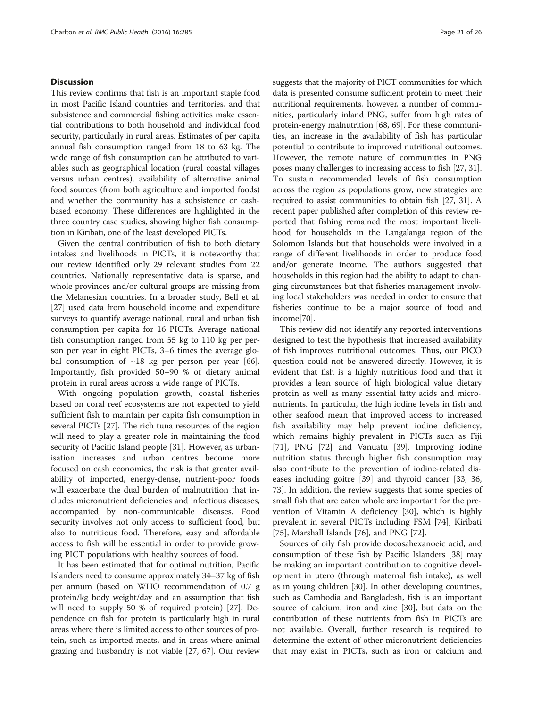## **Discussion**

This review confirms that fish is an important staple food in most Pacific Island countries and territories, and that subsistence and commercial fishing activities make essential contributions to both household and individual food security, particularly in rural areas. Estimates of per capita annual fish consumption ranged from 18 to 63 kg. The wide range of fish consumption can be attributed to variables such as geographical location (rural coastal villages versus urban centres), availability of alternative animal food sources (from both agriculture and imported foods) and whether the community has a subsistence or cashbased economy. These differences are highlighted in the three country case studies, showing higher fish consumption in Kiribati, one of the least developed PICTs.

Given the central contribution of fish to both dietary intakes and livelihoods in PICTs, it is noteworthy that our review identified only 29 relevant studies from 22 countries. Nationally representative data is sparse, and whole provinces and/or cultural groups are missing from the Melanesian countries. In a broader study, Bell et al. [[27\]](#page-23-0) used data from household income and expenditure surveys to quantify average national, rural and urban fish consumption per capita for 16 PICTs. Average national fish consumption ranged from 55 kg to 110 kg per person per year in eight PICTs, 3–6 times the average global consumption of  $\sim$ 18 kg per person per year [\[66](#page-24-0)]. Importantly, fish provided 50–90 % of dietary animal protein in rural areas across a wide range of PICTs.

With ongoing population growth, coastal fisheries based on coral reef ecosystems are not expected to yield sufficient fish to maintain per capita fish consumption in several PICTs [[27\]](#page-23-0). The rich tuna resources of the region will need to play a greater role in maintaining the food security of Pacific Island people [[31\]](#page-23-0). However, as urbanisation increases and urban centres become more focused on cash economies, the risk is that greater availability of imported, energy-dense, nutrient-poor foods will exacerbate the dual burden of malnutrition that includes micronutrient deficiencies and infectious diseases, accompanied by non-communicable diseases. Food security involves not only access to sufficient food, but also to nutritious food. Therefore, easy and affordable access to fish will be essential in order to provide growing PICT populations with healthy sources of food.

It has been estimated that for optimal nutrition, Pacific Islanders need to consume approximately 34–37 kg of fish per annum (based on WHO recommendation of 0.7 g protein/kg body weight/day and an assumption that fish will need to supply 50 % of required protein) [\[27](#page-23-0)]. Dependence on fish for protein is particularly high in rural areas where there is limited access to other sources of protein, such as imported meats, and in areas where animal grazing and husbandry is not viable [\[27](#page-23-0), [67\]](#page-24-0). Our review suggests that the majority of PICT communities for which data is presented consume sufficient protein to meet their nutritional requirements, however, a number of communities, particularly inland PNG, suffer from high rates of protein-energy malnutrition [\[68, 69\]](#page-24-0). For these communities, an increase in the availability of fish has particular potential to contribute to improved nutritional outcomes. However, the remote nature of communities in PNG poses many challenges to increasing access to fish [\[27](#page-23-0), [31](#page-23-0)]. To sustain recommended levels of fish consumption across the region as populations grow, new strategies are required to assist communities to obtain fish [\[27](#page-23-0), [31\]](#page-23-0). A recent paper published after completion of this review reported that fishing remained the most important livelihood for households in the Langalanga region of the Solomon Islands but that households were involved in a range of different livelihoods in order to produce food and/or generate income. The authors suggested that households in this region had the ability to adapt to changing circumstances but that fisheries management involving local stakeholders was needed in order to ensure that fisheries continue to be a major source of food and income[\[70\]](#page-24-0).

This review did not identify any reported interventions designed to test the hypothesis that increased availability of fish improves nutritional outcomes. Thus, our PICO question could not be answered directly. However, it is evident that fish is a highly nutritious food and that it provides a lean source of high biological value dietary protein as well as many essential fatty acids and micronutrients. In particular, the high iodine levels in fish and other seafood mean that improved access to increased fish availability may help prevent iodine deficiency, which remains highly prevalent in PICTs such as Fiji [[71\]](#page-24-0), PNG [[72\]](#page-24-0) and Vanuatu [\[39\]](#page-24-0). Improving iodine nutrition status through higher fish consumption may also contribute to the prevention of iodine-related diseases including goitre [\[39](#page-24-0)] and thyroid cancer [\[33, 36](#page-23-0), [73\]](#page-24-0). In addition, the review suggests that some species of small fish that are eaten whole are important for the prevention of Vitamin A deficiency [[30](#page-23-0)], which is highly prevalent in several PICTs including FSM [[74\]](#page-24-0), Kiribati [[75\]](#page-24-0), Marshall Islands [\[76](#page-24-0)], and PNG [[72](#page-24-0)].

Sources of oily fish provide docosahexanoeic acid, and consumption of these fish by Pacific Islanders [[38\]](#page-24-0) may be making an important contribution to cognitive development in utero (through maternal fish intake), as well as in young children [[30](#page-23-0)]. In other developing countries, such as Cambodia and Bangladesh, fish is an important source of calcium, iron and zinc [[30](#page-23-0)], but data on the contribution of these nutrients from fish in PICTs are not available. Overall, further research is required to determine the extent of other micronutrient deficiencies that may exist in PICTs, such as iron or calcium and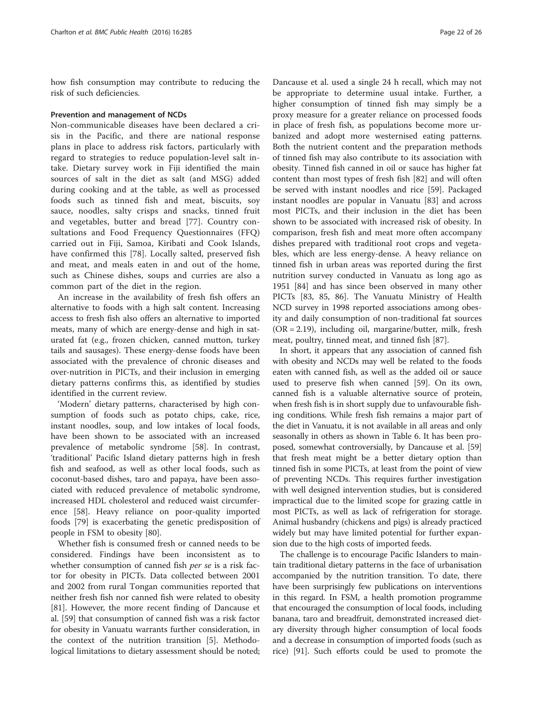how fish consumption may contribute to reducing the risk of such deficiencies.

#### Prevention and management of NCDs

Non-communicable diseases have been declared a crisis in the Pacific, and there are national response plans in place to address risk factors, particularly with regard to strategies to reduce population-level salt intake. Dietary survey work in Fiji identified the main sources of salt in the diet as salt (and MSG) added during cooking and at the table, as well as processed foods such as tinned fish and meat, biscuits, soy sauce, noodles, salty crisps and snacks, tinned fruit and vegetables, butter and bread [[77](#page-24-0)]. Country consultations and Food Frequency Questionnaires (FFQ) carried out in Fiji, Samoa, Kiribati and Cook Islands, have confirmed this [\[78](#page-24-0)]. Locally salted, preserved fish and meat, and meals eaten in and out of the home, such as Chinese dishes, soups and curries are also a common part of the diet in the region.

An increase in the availability of fresh fish offers an alternative to foods with a high salt content. Increasing access to fresh fish also offers an alternative to imported meats, many of which are energy-dense and high in saturated fat (e.g., frozen chicken, canned mutton, turkey tails and sausages). These energy-dense foods have been associated with the prevalence of chronic diseases and over-nutrition in PICTs, and their inclusion in emerging dietary patterns confirms this, as identified by studies identified in the current review.

'Modern' dietary patterns, characterised by high consumption of foods such as potato chips, cake, rice, instant noodles, soup, and low intakes of local foods, have been shown to be associated with an increased prevalence of metabolic syndrome [[58\]](#page-24-0). In contrast, 'traditional' Pacific Island dietary patterns high in fresh fish and seafood, as well as other local foods, such as coconut-based dishes, taro and papaya, have been associated with reduced prevalence of metabolic syndrome, increased HDL cholesterol and reduced waist circumference [\[58](#page-24-0)]. Heavy reliance on poor-quality imported foods [\[79](#page-24-0)] is exacerbating the genetic predisposition of people in FSM to obesity [\[80](#page-24-0)].

Whether fish is consumed fresh or canned needs to be considered. Findings have been inconsistent as to whether consumption of canned fish per se is a risk factor for obesity in PICTs. Data collected between 2001 and 2002 from rural Tongan communities reported that neither fresh fish nor canned fish were related to obesity [[81\]](#page-24-0). However, the more recent finding of Dancause et al. [[59\]](#page-24-0) that consumption of canned fish was a risk factor for obesity in Vanuatu warrants further consideration, in the context of the nutrition transition [[5\]](#page-23-0). Methodological limitations to dietary assessment should be noted;

Dancause et al. used a single 24 h recall, which may not be appropriate to determine usual intake. Further, a higher consumption of tinned fish may simply be a proxy measure for a greater reliance on processed foods in place of fresh fish, as populations become more urbanized and adopt more westernised eating patterns. Both the nutrient content and the preparation methods of tinned fish may also contribute to its association with obesity. Tinned fish canned in oil or sauce has higher fat content than most types of fresh fish [[82\]](#page-24-0) and will often be served with instant noodles and rice [\[59\]](#page-24-0). Packaged instant noodles are popular in Vanuatu [\[83](#page-24-0)] and across most PICTs, and their inclusion in the diet has been shown to be associated with increased risk of obesity. In comparison, fresh fish and meat more often accompany dishes prepared with traditional root crops and vegetables, which are less energy-dense. A heavy reliance on tinned fish in urban areas was reported during the first nutrition survey conducted in Vanuatu as long ago as 1951 [\[84\]](#page-24-0) and has since been observed in many other PICTs [[83, 85](#page-24-0), [86](#page-24-0)]. The Vanuatu Ministry of Health NCD survey in 1998 reported associations among obesity and daily consumption of non-traditional fat sources  $(OR = 2.19)$ , including oil, margarine/butter, milk, fresh meat, poultry, tinned meat, and tinned fish [[87\]](#page-24-0).

In short, it appears that any association of canned fish with obesity and NCDs may well be related to the foods eaten with canned fish, as well as the added oil or sauce used to preserve fish when canned [[59](#page-24-0)]. On its own, canned fish is a valuable alternative source of protein, when fresh fish is in short supply due to unfavourable fishing conditions. While fresh fish remains a major part of the diet in Vanuatu, it is not available in all areas and only seasonally in others as shown in Table [6](#page-14-0). It has been proposed, somewhat controversially, by Dancause et al. [[59](#page-24-0)] that fresh meat might be a better dietary option than tinned fish in some PICTs, at least from the point of view of preventing NCDs. This requires further investigation with well designed intervention studies, but is considered impractical due to the limited scope for grazing cattle in most PICTs, as well as lack of refrigeration for storage. Animal husbandry (chickens and pigs) is already practiced widely but may have limited potential for further expansion due to the high costs of imported feeds.

The challenge is to encourage Pacific Islanders to maintain traditional dietary patterns in the face of urbanisation accompanied by the nutrition transition. To date, there have been surprisingly few publications on interventions in this regard. In FSM, a health promotion programme that encouraged the consumption of local foods, including banana, taro and breadfruit, demonstrated increased dietary diversity through higher consumption of local foods and a decrease in consumption of imported foods (such as rice) [\[91\]](#page-25-0). Such efforts could be used to promote the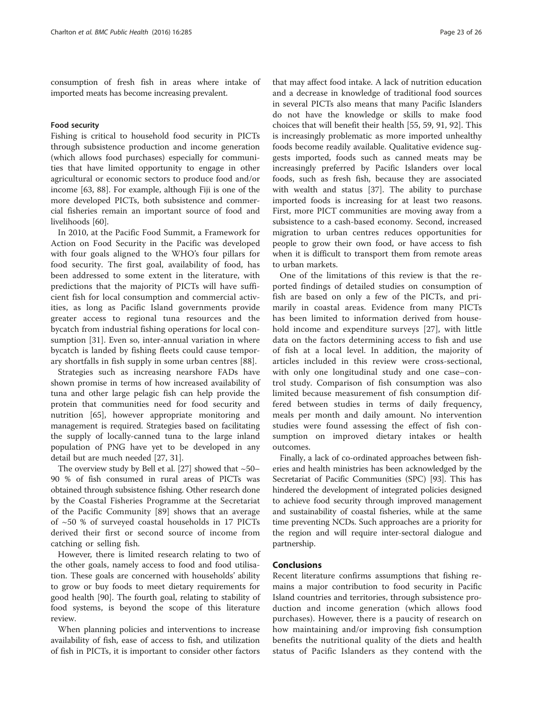consumption of fresh fish in areas where intake of imported meats has become increasing prevalent.

### Food security

Fishing is critical to household food security in PICTs through subsistence production and income generation (which allows food purchases) especially for communities that have limited opportunity to engage in other agricultural or economic sectors to produce food and/or income [\[63](#page-24-0), [88](#page-24-0)]. For example, although Fiji is one of the more developed PICTs, both subsistence and commercial fisheries remain an important source of food and livelihoods [\[60](#page-24-0)].

In 2010, at the Pacific Food Summit, a Framework for Action on Food Security in the Pacific was developed with four goals aligned to the WHO's four pillars for food security. The first goal, availability of food, has been addressed to some extent in the literature, with predictions that the majority of PICTs will have sufficient fish for local consumption and commercial activities, as long as Pacific Island governments provide greater access to regional tuna resources and the bycatch from industrial fishing operations for local consumption [[31\]](#page-23-0). Even so, inter-annual variation in where bycatch is landed by fishing fleets could cause temporary shortfalls in fish supply in some urban centres [[88\]](#page-24-0).

Strategies such as increasing nearshore FADs have shown promise in terms of how increased availability of tuna and other large pelagic fish can help provide the protein that communities need for food security and nutrition [[65](#page-24-0)], however appropriate monitoring and management is required. Strategies based on facilitating the supply of locally-canned tuna to the large inland population of PNG have yet to be developed in any detail but are much needed [\[27, 31\]](#page-23-0).

The overview study by Bell et al. [[27](#page-23-0)] showed that  $\sim$ 50– 90 % of fish consumed in rural areas of PICTs was obtained through subsistence fishing. Other research done by the Coastal Fisheries Programme at the Secretariat of the Pacific Community [[89\]](#page-24-0) shows that an average of ~50 % of surveyed coastal households in 17 PICTs derived their first or second source of income from catching or selling fish.

However, there is limited research relating to two of the other goals, namely access to food and food utilisation. These goals are concerned with households' ability to grow or buy foods to meet dietary requirements for good health [\[90\]](#page-24-0). The fourth goal, relating to stability of food systems, is beyond the scope of this literature review.

When planning policies and interventions to increase availability of fish, ease of access to fish, and utilization of fish in PICTs, it is important to consider other factors

that may affect food intake. A lack of nutrition education and a decrease in knowledge of traditional food sources in several PICTs also means that many Pacific Islanders do not have the knowledge or skills to make food choices that will benefit their health [[55, 59,](#page-24-0) [91](#page-25-0), [92](#page-25-0)]. This is increasingly problematic as more imported unhealthy foods become readily available. Qualitative evidence suggests imported, foods such as canned meats may be increasingly preferred by Pacific Islanders over local foods, such as fresh fish, because they are associated with wealth and status [\[37](#page-23-0)]. The ability to purchase imported foods is increasing for at least two reasons. First, more PICT communities are moving away from a subsistence to a cash-based economy. Second, increased migration to urban centres reduces opportunities for people to grow their own food, or have access to fish when it is difficult to transport them from remote areas to urban markets.

One of the limitations of this review is that the reported findings of detailed studies on consumption of fish are based on only a few of the PICTs, and primarily in coastal areas. Evidence from many PICTs has been limited to information derived from household income and expenditure surveys [[27](#page-23-0)], with little data on the factors determining access to fish and use of fish at a local level. In addition, the majority of articles included in this review were cross-sectional, with only one longitudinal study and one case–control study. Comparison of fish consumption was also limited because measurement of fish consumption differed between studies in terms of daily frequency, meals per month and daily amount. No intervention studies were found assessing the effect of fish consumption on improved dietary intakes or health outcomes.

Finally, a lack of co-ordinated approaches between fisheries and health ministries has been acknowledged by the Secretariat of Pacific Communities (SPC) [[93](#page-25-0)]. This has hindered the development of integrated policies designed to achieve food security through improved management and sustainability of coastal fisheries, while at the same time preventing NCDs. Such approaches are a priority for the region and will require inter-sectoral dialogue and partnership.

## Conclusions

Recent literature confirms assumptions that fishing remains a major contribution to food security in Pacific Island countries and territories, through subsistence production and income generation (which allows food purchases). However, there is a paucity of research on how maintaining and/or improving fish consumption benefits the nutritional quality of the diets and health status of Pacific Islanders as they contend with the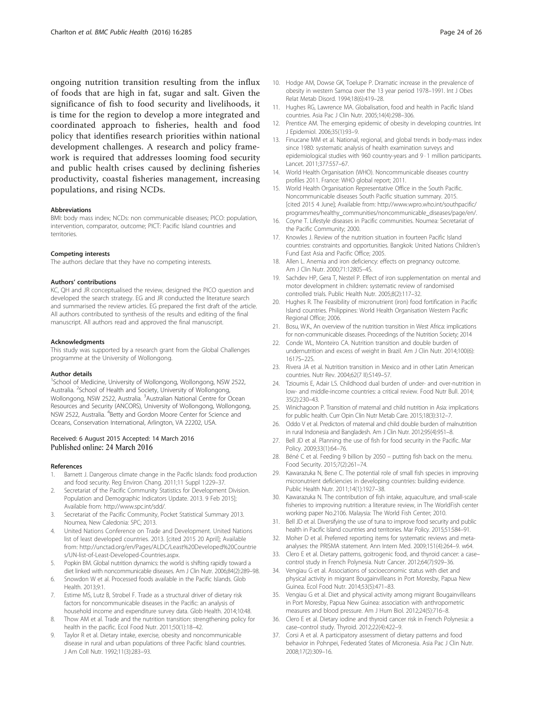<span id="page-23-0"></span>ongoing nutrition transition resulting from the influx of foods that are high in fat, sugar and salt. Given the significance of fish to food security and livelihoods, it is time for the region to develop a more integrated and coordinated approach to fisheries, health and food policy that identifies research priorities within national development challenges. A research and policy framework is required that addresses looming food security and public health crises caused by declining fisheries productivity, coastal fisheries management, increasing populations, and rising NCDs.

#### Abbreviations

BMI: body mass index; NCDs: non communicable diseases; PICO: population, intervention, comparator, outcome; PICT: Pacific Island countries and territories.

#### Competing interests

The authors declare that they have no competing interests.

#### Authors' contributions

KC, QH and JR conceptualised the review, designed the PICO question and developed the search strategy. EG and JR conducted the literature search and summarised the review articles. EG prepared the first draft of the article. All authors contributed to synthesis of the results and editing of the final manuscript. All authors read and approved the final manuscript.

#### Acknowledgments

This study was supported by a research grant from the Global Challenges programme at the University of Wollongong.

#### Author details

<sup>1</sup>School of Medicine, University of Wollongong, Wollongong, NSW 2522, Australia. <sup>2</sup>School of Health and Society, University of Wollongong, Wollongong, NSW 2522, Australia. <sup>3</sup>Australian National Centre for Ocean Resources and Security (ANCORS), University of Wollongong, Wollongong, NSW 2522, Australia. <sup>4</sup>Betty and Gordon Moore Center for Science and Oceans, Conservation International, Arlington, VA 22202, USA.

#### Received: 6 August 2015 Accepted: 14 March 2016 Published online: 24 March 2016

#### References

- 1. Barnett J. Dangerous climate change in the Pacific Islands: food production and food security. Reg Environ Chang. 2011;11 Suppl 1:229–37.
- 2. Secretariat of the Pacific Community Statistics for Development Division. Population and Demographic Indicators Update. 2013. 9 Feb 2015]; Available from: [http://www.spc.int/sdd/.](http://www.spc.int/sdd/)
- Secretariat of the Pacific Community, Pocket Statistical Summary 2013. Noumea, New Caledonia: SPC; 2013.
- 4. United Nations Conference on Trade and Development. United Nations list of least developed countries. 2013. [cited 2015 20 April]; Available from: [http://unctad.org/en/Pages/ALDC/Least%20Developed%20Countrie](http://unctad.org/en/Pages/ALDC/Least%20Developed%20Countries/UN-list-of-Least-Developed-Countries.aspx) [s/UN-list-of-Least-Developed-Countries.aspx.](http://unctad.org/en/Pages/ALDC/Least%20Developed%20Countries/UN-list-of-Least-Developed-Countries.aspx)
- 5. Popkin BM. Global nutrition dynamics: the world is shifting rapidly toward a diet linked with noncommunicable diseases. Am J Clin Nutr. 2006;84(2):289–98.
- 6. Snowdon W et al. Processed foods available in the Pacific Islands. Glob Health. 2013;9:1.
- 7. Estime MS, Lutz B, Strobel F. Trade as a structural driver of dietary risk factors for noncommunicable diseases in the Pacific: an analysis of household income and expenditure survey data. Glob Health. 2014;10:48.
- Thow AM et al. Trade and the nutrition transition: strengthening policy for health in the pacific. Ecol Food Nutr. 2011;50(1):18–42.
- Taylor R et al. Dietary intake, exercise, obesity and noncommunicable disease in rural and urban populations of three Pacific Island countries. J Am Coll Nutr. 1992;11(3):283–93.
- 10. Hodge AM, Dowse GK, Toelupe P. Dramatic increase in the prevalence of obesity in western Samoa over the 13 year period 1978–1991. Int J Obes Relat Metab Disord. 1994;18(6):419–28.
- 11. Hughes RG, Lawrence MA. Globalisation, food and health in Pacific Island countries. Asia Pac J Clin Nutr. 2005;14(4):298–306.
- 12. Prentice AM. The emerging epidemic of obesity in developing countries. Int J Epidemiol. 2006;35(1):93–9.
- 13. Finucane MM et al. National, regional, and global trends in body-mass index since 1980: systematic analysis of health examination surveys and epidemiological studies with 960 country-years and 9 · 1 million participants. Lancet. 2011;377:557–67.
- 14. World Health Organisation (WHO). Noncommunicable diseases country profiles 2011. France: WHO global report; 2011.
- 15. World Health Organisation Representative Office in the South Pacific. Noncommunicable diseases South Pacific situation summary. 2015. [cited 2015 4 June]; Available from: [http://www.wpro.who.int/southpacific/](http://www.wpro.who.int/southpacific/programmes/healthy_communities/noncommunicable_diseases/page/en/) [programmes/healthy\\_communities/noncommunicable\\_diseases/page/en/.](http://www.wpro.who.int/southpacific/programmes/healthy_communities/noncommunicable_diseases/page/en/)
- 16. Coyne T. Lifestyle diseases in Pacific communities. Noumea: Secretariat of the Pacific Community; 2000.
- 17. Knowles J. Review of the nutrition situation in fourteen Pacific Island countries: constraints and opportunities. Bangkok: United Nations Children's Fund East Asia and Pacific Office; 2005.
- 18. Allen L. Anemia and iron deficiency: effects on pregnancy outcome. Am J Clin Nutr. 2000;71:1280S–4S.
- 19. Sachdev HP, Gera T, Nestel P. Effect of iron supplementation on mental and motor development in children: systematic review of randomised controlled trials. Public Health Nutr. 2005;8(2):117–32.
- 20. Hughes R. The Feasibility of micronutrient (iron) food fortification in Pacific Island countries. Philippines: World Health Organisation Western Pacific Regional Office; 2006.
- 21. Bosu, W.K., An overview of the nutrition transition in West Africa: implications for non-communicable diseases. Proceedings of the Nutrition Society; 2014
- 22. Conde WL, Monteiro CA. Nutrition transition and double burden of undernutrition and excess of weight in Brazil. Am J Clin Nutr. 2014;100(6): 1617S–22S.
- 23. Rivera JA et al. Nutrition transition in Mexico and in other Latin American countries. Nutr Rev. 2004;62(7 II):S149–57.
- 24. Tzioumis E, Adair LS. Childhood dual burden of under- and over-nutrition in low- and middle-income countries: a critical review. Food Nutr Bull. 2014; 35(2):230–43.
- 25. Winichagoon P. Transition of maternal and child nutrition in Asia: implications for public health. Curr Opin Clin Nutr Metab Care. 2015;18(3):312–7.
- 26. Oddo V et al. Predictors of maternal and child double burden of malnutrition in rural Indonesia and Bangladesh. Am J Clin Nutr. 2012;95(4):951–8.
- 27. Bell JD et al. Planning the use of fish for food security in the Pacific. Mar Policy. 2009;33(1):64–76.
- 28. Béné C et al. Feeding 9 billion by 2050 putting fish back on the menu. Food Security. 2015;7(2):261–74.
- 29. Kawarazuka N, Bene C. The potential role of small fish species in improving micronutrient deficiencies in developing countries: building evidence. Public Health Nutr. 2011;14(1):1927–38.
- 30. Kawarazuka N. The contribution of fish intake, aquaculture, and small-scale fisheries to improving nutrition: a literature review, in The WorldFish center working paper No.2106. Malaysia: The World Fish Center; 2010.
- 31. Bell JD et al. Diversifying the use of tuna to improve food security and public health in Pacific Island countries and territories. Mar Policy. 2015;51:584–91.
- 32. Moher D et al. Preferred reporting items for systematic reviews and metaanalyses: the PRISMA statement. Ann Intern Med. 2009;151(4):264–9. w64.
- 33. Clero E et al. Dietary patterns, goitrogenic food, and thyroid cancer: a case– control study in French Polynesia. Nutr Cancer. 2012;64(7):929–36.
- 34. Vengiau G et al. Associations of socioeconomic status with diet and physical activity in migrant Bougainvilleans in Port Moresby, Papua New Guinea. Ecol Food Nutr. 2014;53(5):471–83.
- 35. Vengiau G et al. Diet and physical activity among migrant Bougainvilleans in Port Moresby, Papua New Guinea: association with anthropometric measures and blood pressure. Am J Hum Biol. 2012;24(5):716–8.
- 36. Clero E et al. Dietary iodine and thyroid cancer risk in French Polynesia: a case–control study. Thyroid. 2012;22(4):422–9.
- 37. Corsi A et al. A participatory assessment of dietary patterns and food behavior in Pohnpei, Federated States of Micronesia. Asia Pac J Clin Nutr. 2008;17(2):309–16.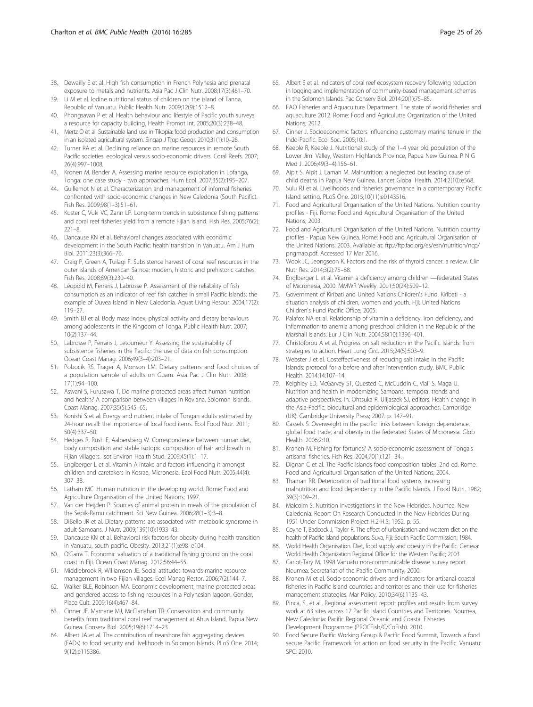- <span id="page-24-0"></span>38. Dewailly E et al. High fish consumption in French Polynesia and prenatal exposure to metals and nutrients. Asia Pac J Clin Nutr. 2008;17(3):461–70.
- 39. Li M et al. Iodine nutritional status of children on the island of Tanna, Republic of Vanuatu. Public Health Nutr. 2009;12(9):1512–8.
- 40. Phongsavan P et al. Health behaviour and lifestyle of Pacific youth surveys: a resource for capacity building. Health Promot Int. 2005;20(3):238–48.
- 41. Mertz O et al. Sustainable land use in Tikopia: food production and consumption in an isolated agricultural system. Singap J Trop Geogr. 2010;31(1):10–26.
- 42. Turner RA et al. Declining reliance on marine resources in remote South Pacific societies: ecological versus socio-economic drivers. Coral Reefs. 2007; 26(4):997–1008.
- 43. Kronen M, Bender A. Assessing marine resource exploitation in Lofanga, Tonga: one case study - two approaches. Hum Ecol. 2007;35(2):195–207.
- 44. Guillemot N et al. Characterization and management of informal fisheries confronted with socio-economic changes in New Caledonia (South Pacific). Fish Res. 2009;98(1–3):51–61.
- 45. Kuster C, Vuki VC, Zann LP. Long-term trends in subsistence fishing patterns and coral reef fisheries yield from a remote Fijian island. Fish Res. 2005;76(2):  $221 - 8$
- 46. Dancause KN et al. Behavioral changes associated with economic development in the South Pacific: health transition in Vanuatu. Am J Hum Biol. 2011;23(3):366–76.
- 47. Craig P, Green A, Tuilagi F. Subsistence harvest of coral reef resources in the outer islands of American Samoa: modern, historic and prehistoric catches. Fish Res. 2008;89(3):230–40.
- 48. Léopold M, Ferraris J, Labrosse P. Assessment of the reliability of fish consumption as an indicator of reef fish catches in small Pacific Islands: the example of Ouvea Island in New Caledonia. Aquat Living Resour. 2004;17(2): 119–27.
- 49. Smith BJ et al. Body mass index, physical activity and dietary behaviours among adolescents in the Kingdom of Tonga. Public Health Nutr. 2007; 10(2):137–44.
- 50. Labrosse P, Ferraris J, Letourneur Y. Assessing the sustainability of subsistence fisheries in the Pacific: the use of data on fish consumption. Ocean Coast Manag. 2006;49(3–4):203–21.
- 51. Pobocik RS, Trager A, Monson LM. Dietary patterns and food choices of a population sample of adults on Guam. Asia Pac J Clin Nutr. 2008; 17(1):94–100.
- 52. Aswani S, Furusawa T. Do marine protected areas affect human nutrition and health? A comparison between villages in Roviana, Solomon Islands. Coast Manag. 2007;35(5):545–65.
- 53. Konishi S et al. Energy and nutrient intake of Tongan adults estimated by 24-hour recall: the importance of local food items. Ecol Food Nutr. 2011; 50(4):337–50.
- 54. Hedges R, Rush E, Aalbersberg W. Correspondence between human diet, body composition and stable isotopic composition of hair and breath in Fijian villagers. Isot Environ Health Stud. 2009;45(1):1–17.
- 55. Englberger L et al. Vitamin A intake and factors influencing it amongst children and caretakers in Kosrae, Micronesia. Ecol Food Nutr. 2005;44(4): 307–38.
- 56. Latham MC. Human nutrition in the developing world. Rome: Food and Agriculture Organisation of the United Nations; 1997.
- 57. Van der Heijden P. Sources of animal protein in meals of the population of the Sepik-Ramu catchment. Sci New Guinea. 2006;28(1–3):3–8.
- 58. DiBello JR et al. Dietary patterns are associated with metabolic syndrome in adult Samoans. J Nutr. 2009;139(10):1933–43.
- 59. Dancause KN et al. Behavioral risk factors for obesity during health transition in Vanuatu, south pacific. Obesity. 2013;21(1):e98–e104.
- 60. O'Garra T. Economic valuation of a traditional fishing ground on the coral coast in Fiji. Ocean Coast Manag. 2012;56:44–55.
- 61. Middlebrook R, Williamson JE. Social attitudes towards marine resource management in two Fijian villages. Ecol Manag Restor. 2006;7(2):144–7.
- 62. Walker BLE, Robinson MA. Economic development, marine protected areas and gendered access to fishing resources in a Polynesian lagoon. Gender, Place Cult. 2009;16(4):467–84.
- 63. Cinner JE, Marnane MJ, McClanahan TR. Conservation and community benefits from traditional coral reef management at Ahus Island, Papua New Guinea. Conserv Biol. 2005;19(6):1714–23.
- 64. Albert JA et al. The contribution of nearshore fish aggregating devices (FADs) to food security and livelihoods in Solomon Islands. PLoS One. 2014; 9(12):e115386.
- 65. Albert S et al. Indicators of coral reef ecosystem recovery following reduction in logging and implementation of community-based management schemes in the Solomon Islands. Pac Conserv Biol. 2014;20(1):75–85.
- 66. FAO Fisheries and Aquaculture Department. The state of world fisheries and aquaculture 2012. Rome: Food and Agriculutre Organization of the United Nations; 2012.
- 67. Cinner J. Socioeconomic factors influencing customary marine tenure in the Indo-Pacific. Ecol Soc. 2005;10:1.
- 68. Keeble R, Keeble J. Nutritional study of the 1–4 year old population of the Lower Jimi Valley, Western Highlands Province, Papua New Guinea. P N G Med J. 2006;49(3–4):156–61.
- 69. Aipit S, Aipit J, Laman M. Malnutrition: a neglected but leading cause of child deaths in Papua New Guinea. Lancet Global Health. 2014;2(10):e568.
- 70. Sulu RJ et al. Livelihoods and fisheries governance in a contemporary Pacific Island setting. PLoS One. 2015;10(11):e0143516.
- 71. Food and Agricultural Organisation of the United Nations. Nutrition country profiles - Fiji. Rome: Food and Agricultural Organisation of the United Nations; 2003.
- 72. Food and Agricultural Organisation of the United Nations. Nutrition country profiles - Papua New Guinea. Rome: Food and Agricultural Organisation of the United Nations; 2003. Available at: [ftp://ftp.fao.org/es/esn/nutrition/ncp/](ftp://ftp.fao.org/es/esn/nutrition/ncp/pngmap.pdf) [pngmap.pdf.](ftp://ftp.fao.org/es/esn/nutrition/ncp/pngmap.pdf) Accessed 17 Mar 2016.
- 73. Wook JC, Jeongseon K. Factors and the risk of thyroid cancer: a review. Clin Nutr Res. 2014;3(2):75–88.
- 74. Englberger L et al. Vitamin a deficiency among children —federated States of Micronesia, 2000. MMWR Weekly. 2001;50(24):509–12.
- 75. Government of Kiribati and United Nations Children's Fund. Kiribati a situation analysis of children, women and youth. Fiji: United Nations Children's Fund Pacific Office; 2005.
- 76. Palafox NA et al. Relationship of vitamin a deficiency, iron deficiency, and inflammation to anemia among preschool children in the Republic of the Marshall Islands. Eur J Clin Nutr. 2004;58(10):1396–401.
- 77. Christoforou A et al. Progress on salt reduction in the Pacific Islands: from strategies to action. Heart Lung Circ. 2015;24(5):503–9.
- 78. Webster J et al. Costeffectiveness of reducing salt intake in the Pacific Islands: protocol for a before and after intervention study. BMC Public Health. 2014;14:107–14.
- 79. Keighley ED, McGarvey ST, Quested C, McCuddin C, Viali S, Maga U. Nutrition and health in modernizing Samoans: temporal trends and adaptive perspectives. In: Ohtsuka R, Ulijaszek SJ, editors. Health change in the Asia-Pacific: biocultural and epidemiological approaches. Cambridge (UK): Cambridge University Press; 2007. p. 147–91.
- Cassels S. Overweight in the pacific: links between foreign dependence, global food trade, and obesity in the federated States of Micronesia. Glob Health. 2006;2:10.
- 81. Kronen M. Fishing for fortunes? A socio-economic assessment of Tonga's artisanal fisheries. Fish Res. 2004;70(1):121–34.
- 82. Dignan C et al. The Pacific Islands food composition tables. 2nd ed. Rome: Food and Agricultural Organisation of the United Nations; 2004.
- 83. Thaman RR. Deterioration of traditional food systems, increasing malnutrition and food dependency in the Pacific Islands. J Food Nutri. 1982; 39(3):109–21.
- 84. Malcolm S. Nutrition investigations in the New Hebrides. Noumea, New Caledonia: Report On Research Conducted In the New Hebrides During 1951 Under Commission Project H.2-H.5; 1952. p. 55.
- 85. Coyne T, Badcock J, Taylor R. The effect of urbanisation and western diet on the health of Pacific Island populations. Suva, Fiji: South Pacific Commission; 1984.
- 86. World Health Organisation. Diet, food supply and obesity in the Pacific. Geneva: World Health Organization Regional Office for the Western Pacific; 2003.
- 87. Carlot-Tary M. 1998 Vanuatu non-communicable disease survey report. Noumea: Secretariat of the Pacific Community; 2000.
- Kronen M et al. Socio-economic drivers and indicators for artisanal coastal fisheries in Pacific Island countries and territories and their use for fisheries management strategies. Mar Policy. 2010;34(6):1135–43.
- Pinca, S., et al., Regional assessment report: profiles and results from survey work at 63 sites across 17 Pacific Island Countries and Territories. Noumea, New Caledonia: Pacific Regional Oceanic and Coastal Fisheries Development Programme (PROCFish/C/CoFish). 2010.
- 90. Food Secure Pacific Working Group & Pacific Food Summit, Towards a food secure Pacific. Framework for action on food security in the Pacific. Vanuatu: SPC; 2010.